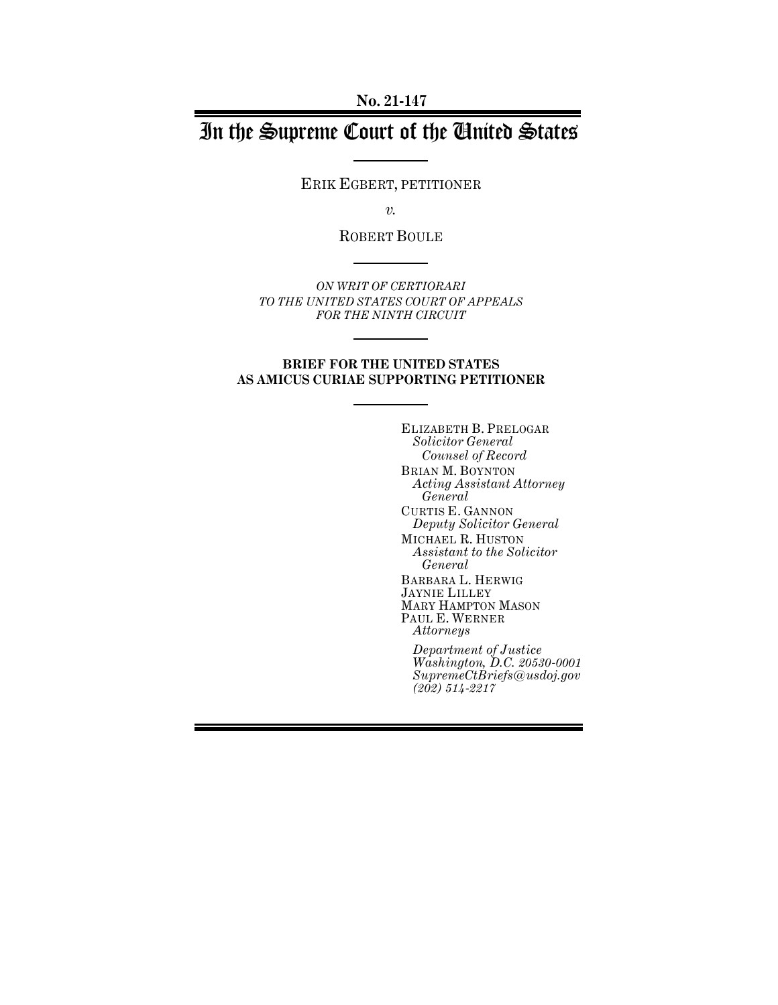**No. 21-147**

# In the Supreme Court of the United States

ERIK EGBERT, PETITIONER

*v.*

ROBERT BOULE

*ON WRIT OF CERTIORARI TO THE UNITED STATES COURT OF APPEALS FOR THE NINTH CIRCUIT* 

## **BRIEF FOR THE UNITED STATES AS AMICUS CURIAE SUPPORTING PETITIONER**

ELIZABETH B. PRELOGAR *Solicitor General Counsel of Record* BRIAN M. BOYNTON *Acting Assistant Attorney General* CURTIS E. GANNON *Deputy Solicitor General* MICHAEL R. HUSTON *Assistant to the Solicitor General* BARBARA L. HERWIG JAYNIE LILLEY MARY HAMPTON MASON PAUL E. WERNER *Attorneys Department of Justice*

*Washington, D.C. 20530-0001 SupremeCtBriefs@usdoj.gov (202) 514-2217*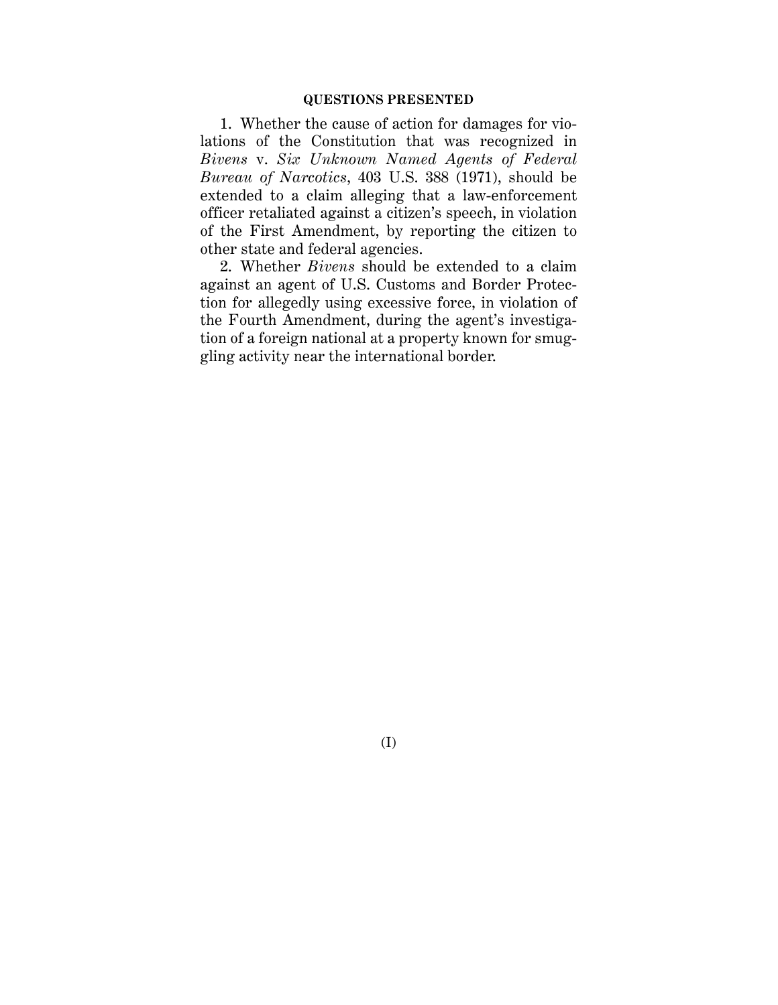1. Whether the cause of action for damages for violations of the Constitution that was recognized in *Bivens* v. *Six Unknown Named Agents of Federal Bureau of Narcotics*, 403 U.S. 388 (1971), should be extended to a claim alleging that a law-enforcement officer retaliated against a citizen's speech, in violation of the First Amendment, by reporting the citizen to other state and federal agencies.

2. Whether *Bivens* should be extended to a claim against an agent of U.S. Customs and Border Protection for allegedly using excessive force, in violation of the Fourth Amendment, during the agent's investigation of a foreign national at a property known for smuggling activity near the international border.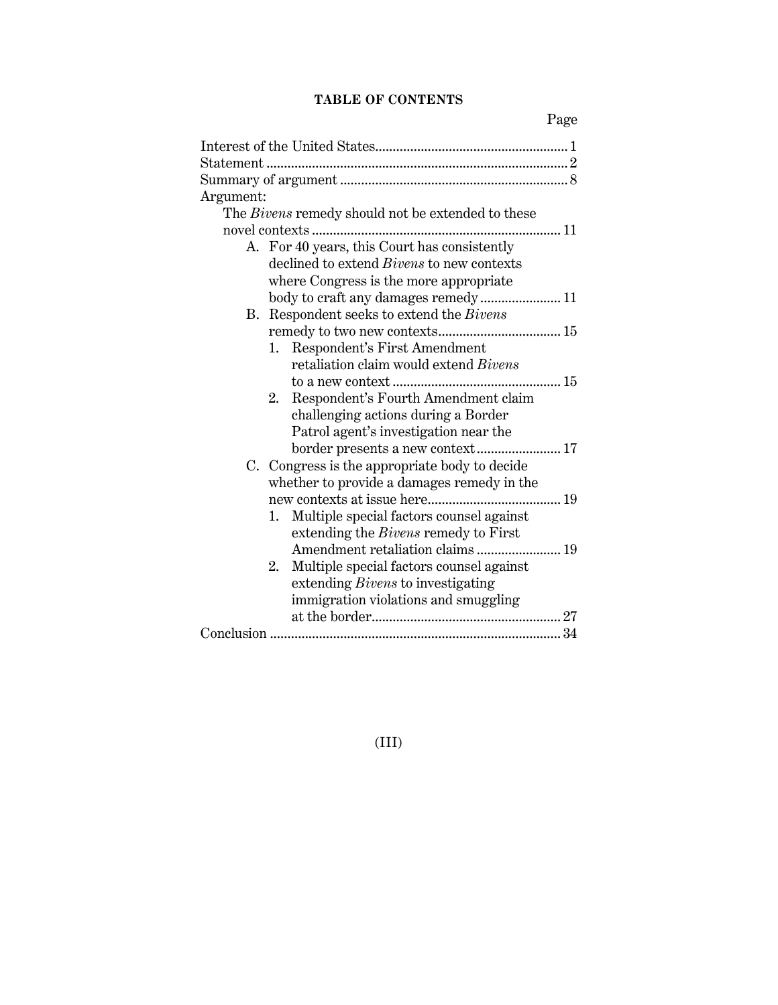# **TABLE OF CONTENTS**

| Argument:                                         |  |  |
|---------------------------------------------------|--|--|
| The Bivens remedy should not be extended to these |  |  |
|                                                   |  |  |
| A. For 40 years, this Court has consistently      |  |  |
| declined to extend <i>Bivens</i> to new contexts  |  |  |
| where Congress is the more appropriate            |  |  |
| body to craft any damages remedy 11               |  |  |
| B. Respondent seeks to extend the Bivens          |  |  |
|                                                   |  |  |
| 1. Respondent's First Amendment                   |  |  |
| retaliation claim would extend Bivens             |  |  |
|                                                   |  |  |
| Respondent's Fourth Amendment claim<br>2.         |  |  |
| challenging actions during a Border               |  |  |
| Patrol agent's investigation near the             |  |  |
| border presents a new context 17                  |  |  |
| C. Congress is the appropriate body to decide     |  |  |
| whether to provide a damages remedy in the        |  |  |
|                                                   |  |  |
| Multiple special factors counsel against<br>1.    |  |  |
| extending the <i>Bivens</i> remedy to First       |  |  |
| Amendment retaliation claims 19                   |  |  |
| 2. Multiple special factors counsel against       |  |  |
| extending Bivens to investigating                 |  |  |
| immigration violations and smuggling              |  |  |
|                                                   |  |  |
|                                                   |  |  |

# (III)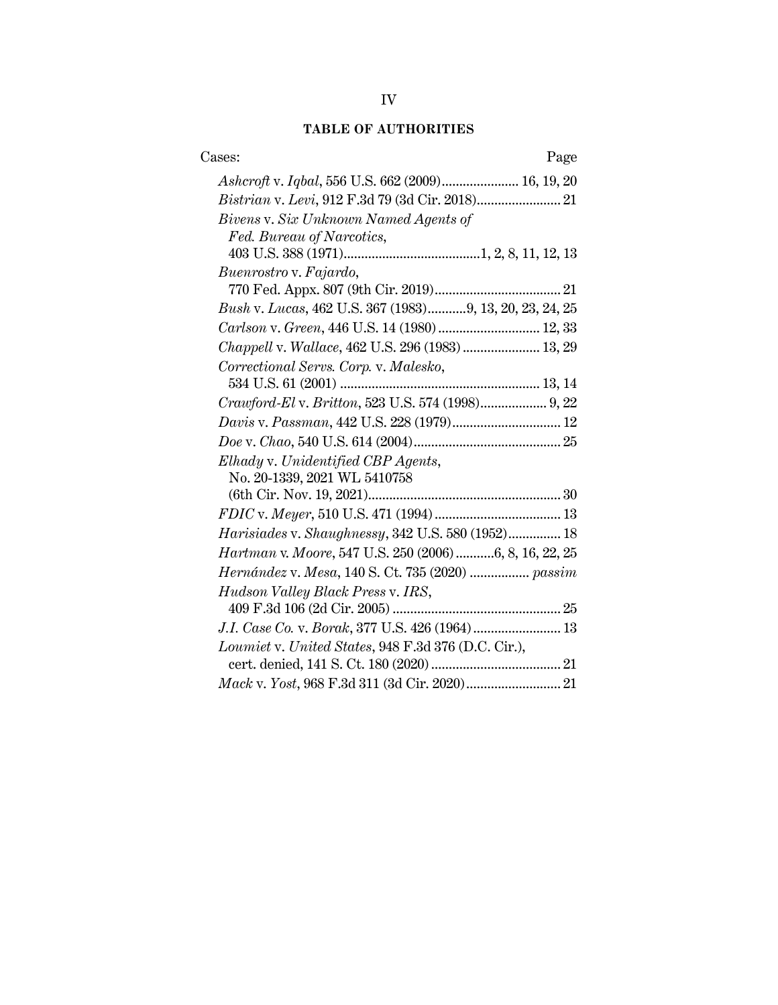# **TABLE OF AUTHORITIES**

| Cases:<br>Page                                          |
|---------------------------------------------------------|
| Ashcroft v. Iqbal, 556 U.S. 662 (2009) 16, 19, 20       |
|                                                         |
| Bivens v. Six Unknown Named Agents of                   |
| Fed. Bureau of Narcotics,                               |
|                                                         |
| Buenrostro v. Fajardo,                                  |
|                                                         |
| Bush v. Lucas, 462 U.S. 367 (1983)9, 13, 20, 23, 24, 25 |
| Carlson v. Green, 446 U.S. 14 (1980) 12, 33             |
| Chappell v. Wallace, 462 U.S. 296 (1983) 13, 29         |
| Correctional Servs. Corp. v. Malesko,                   |
|                                                         |
|                                                         |
| Davis v. Passman, 442 U.S. 228 (1979) 12                |
|                                                         |
| Elhady v. Unidentified CBP Agents,                      |
| No. 20-1339, 2021 WL 5410758                            |
|                                                         |
|                                                         |
| Harisiades v. Shaughnessy, 342 U.S. 580 (1952) 18       |
| Hartman v. Moore, 547 U.S. 250 (2006) 6, 8, 16, 22, 25  |
| Hernández v. Mesa, 140 S. Ct. 735 (2020)  passim        |
| Hudson Valley Black Press v. IRS,                       |
|                                                         |
| J.I. Case Co. v. Borak, 377 U.S. 426 (1964) 13          |
| Loumiet v. United States, 948 F.3d 376 (D.C. Cir.),     |
|                                                         |
|                                                         |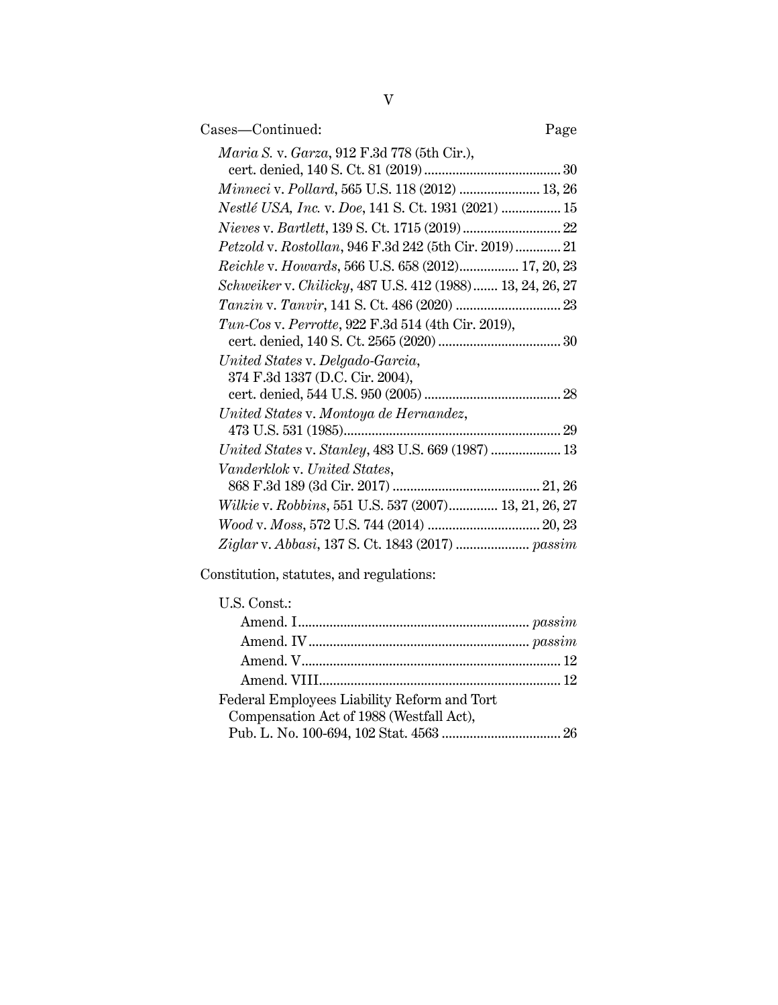| Cases—Continued:                                          | Page |
|-----------------------------------------------------------|------|
| <i>Maria S. v. Garza</i> , 912 F.3d 778 (5th Cir.),       |      |
|                                                           |      |
| Minneci v. Pollard, 565 U.S. 118 (2012)  13, 26           |      |
| Nestlé USA, Inc. v. Doe, 141 S. Ct. 1931 (2021)  15       |      |
|                                                           |      |
| Petzold v. Rostollan, 946 F.3d 242 (5th Cir. 2019) 21     |      |
| Reichle v. Howards, 566 U.S. 658 (2012) 17, 20, 23        |      |
| Schweiker v. Chilicky, 487 U.S. 412 (1988) 13, 24, 26, 27 |      |
|                                                           |      |
|                                                           |      |
| $Tun-Cos v. Perrotte, 922 F.3d 514 (4th Cir. 2019),$      |      |
|                                                           |      |
| United States v. Delgado-Garcia,                          |      |
| 374 F.3d 1337 (D.C. Cir. 2004),                           |      |
|                                                           |      |
| United States v. Montoya de Hernandez,                    |      |
|                                                           |      |
|                                                           |      |
| Vanderklok v. United States,                              |      |
|                                                           |      |
| Wilkie v. Robbins, 551 U.S. 537 (2007) 13, 21, 26, 27     |      |
|                                                           |      |
| Ziglar v. Abbasi, 137 S. Ct. 1843 (2017)  passim          |      |
|                                                           |      |

Constitution, statutes, and regulations:

| U.S. Const.:                                |  |
|---------------------------------------------|--|
|                                             |  |
|                                             |  |
|                                             |  |
|                                             |  |
| Federal Employees Liability Reform and Tort |  |
| Compensation Act of 1988 (Westfall Act),    |  |
|                                             |  |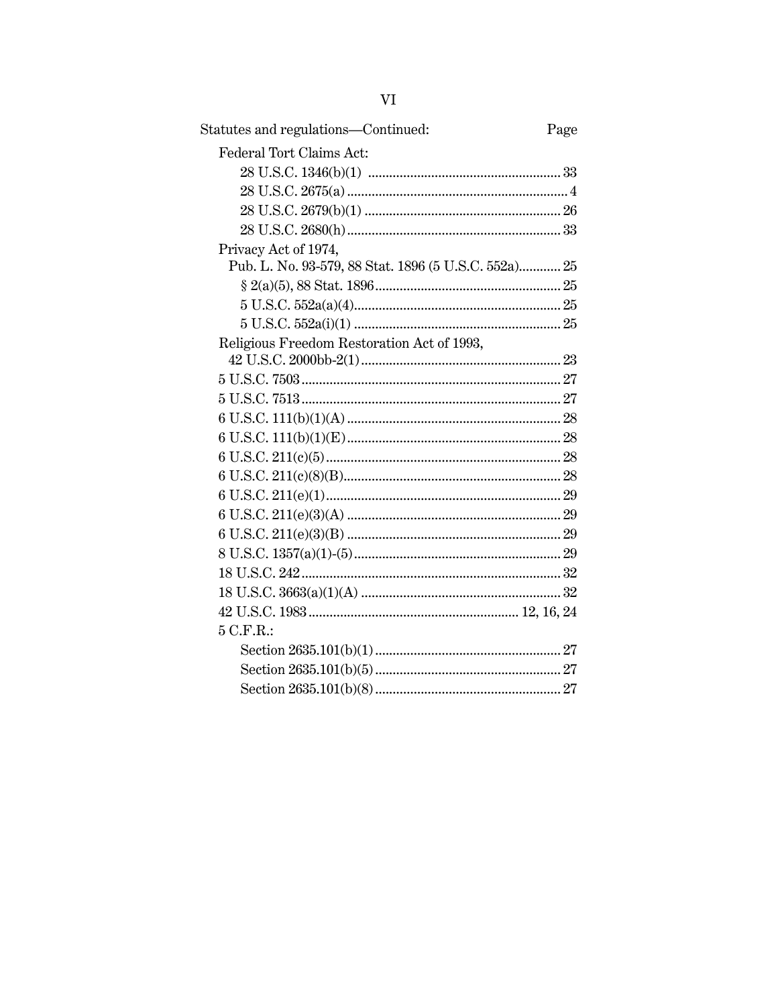| Statutes and regulations-Continued:                  | Page |
|------------------------------------------------------|------|
| Federal Tort Claims Act:                             |      |
|                                                      |      |
|                                                      |      |
|                                                      |      |
|                                                      |      |
| Privacy Act of 1974,                                 |      |
| Pub. L. No. 93-579, 88 Stat. 1896 (5 U.S.C. 552a) 25 |      |
|                                                      |      |
|                                                      |      |
|                                                      |      |
| Religious Freedom Restoration Act of 1993,           |      |
|                                                      |      |
|                                                      |      |
|                                                      |      |
|                                                      |      |
|                                                      |      |
|                                                      |      |
|                                                      |      |
|                                                      |      |
|                                                      |      |
|                                                      |      |
|                                                      |      |
|                                                      |      |
|                                                      |      |
|                                                      |      |
| 5 C.F.R.                                             |      |
|                                                      |      |
|                                                      |      |
|                                                      |      |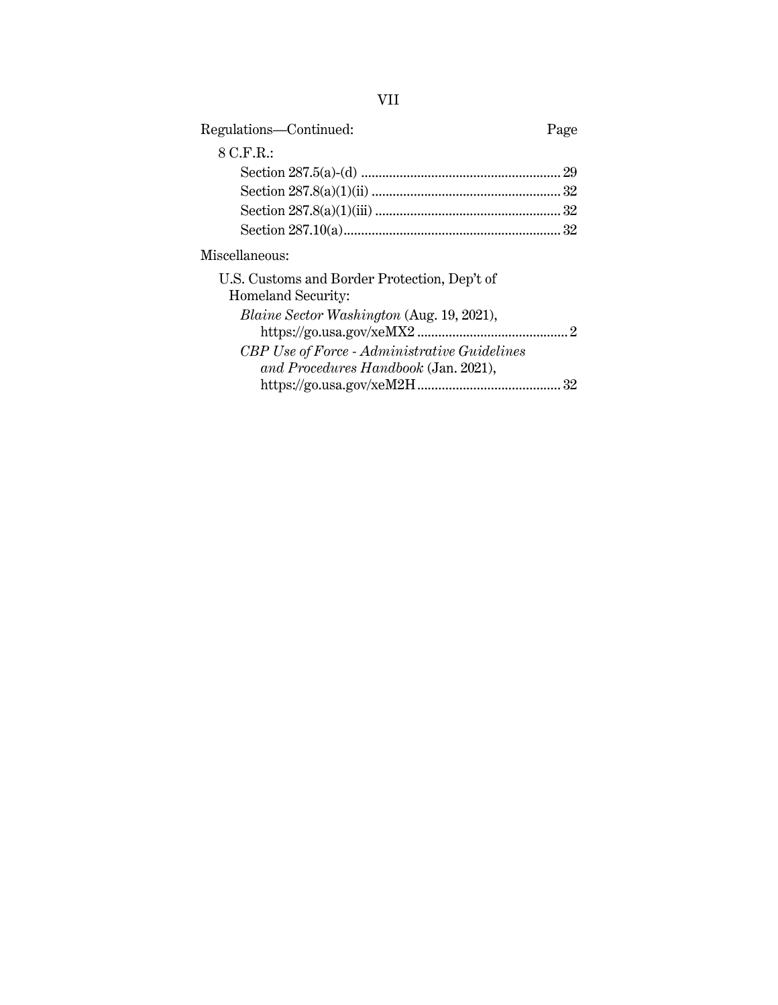| Regulations-Continued:                                             | Page |
|--------------------------------------------------------------------|------|
| 8 C.F.R.:                                                          |      |
|                                                                    |      |
|                                                                    |      |
|                                                                    |      |
|                                                                    |      |
| Miscellaneous:                                                     |      |
| U.S. Customs and Border Protection, Dep't of<br>Homeland Security: |      |
| <i>Blaine Sector Washington (Aug. 19, 2021),</i>                   |      |
| <b>CBP</b> Use of Force - Administrative Guidelines                |      |
| and Procedures Handbook (Jan. 2021),                               |      |
|                                                                    |      |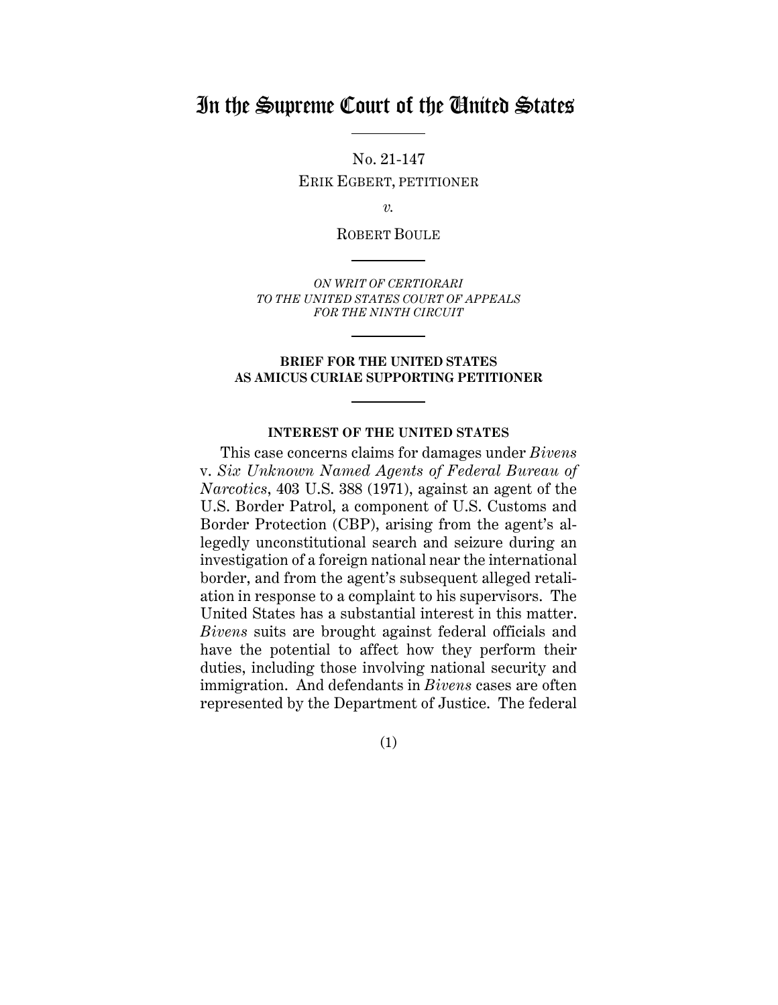# In the Supreme Court of the United States

No. 21-147 ERIK EGBERT, PETITIONER

*v.*

ROBERT BOULE

*ON WRIT OF CERTIORARI TO THE UNITED STATES COURT OF APPEALS FOR THE NINTH CIRCUIT* 

## **BRIEF FOR THE UNITED STATES AS AMICUS CURIAE SUPPORTING PETITIONER**

### **INTEREST OF THE UNITED STATES**

This case concerns claims for damages under *Bivens*  v. *Six Unknown Named Agents of Federal Bureau of Narcotics*, 403 U.S. 388 (1971), against an agent of the U.S. Border Patrol, a component of U.S. Customs and Border Protection (CBP), arising from the agent's allegedly unconstitutional search and seizure during an investigation of a foreign national near the international border, and from the agent's subsequent alleged retaliation in response to a complaint to his supervisors. The United States has a substantial interest in this matter. *Bivens* suits are brought against federal officials and have the potential to affect how they perform their duties, including those involving national security and immigration. And defendants in *Bivens* cases are often represented by the Department of Justice. The federal

(1)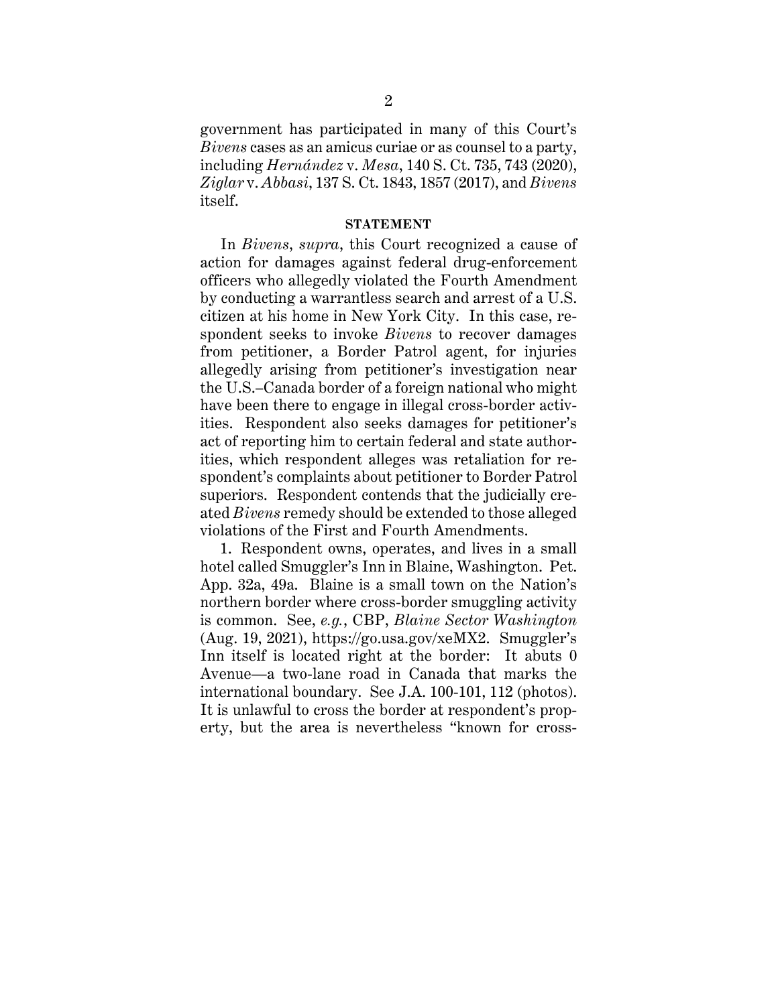government has participated in many of this Court's *Bivens* cases as an amicus curiae or as counsel to a party, including *Hernández* v. *Mesa*, 140 S. Ct. 735, 743 (2020), *Ziglar* v. *Abbasi*, 137 S. Ct. 1843, 1857 (2017), and *Bivens* itself.

### **STATEMENT**

In *Bivens*, *supra*, this Court recognized a cause of action for damages against federal drug-enforcement officers who allegedly violated the Fourth Amendment by conducting a warrantless search and arrest of a U.S. citizen at his home in New York City. In this case, respondent seeks to invoke *Bivens* to recover damages from petitioner, a Border Patrol agent, for injuries allegedly arising from petitioner's investigation near the U.S.–Canada border of a foreign national who might have been there to engage in illegal cross-border activities. Respondent also seeks damages for petitioner's act of reporting him to certain federal and state authorities, which respondent alleges was retaliation for respondent's complaints about petitioner to Border Patrol superiors. Respondent contends that the judicially created *Bivens* remedy should be extended to those alleged violations of the First and Fourth Amendments.

1. Respondent owns, operates, and lives in a small hotel called Smuggler's Inn in Blaine, Washington. Pet. App. 32a, 49a. Blaine is a small town on the Nation's northern border where cross-border smuggling activity is common. See, *e.g.*, CBP, *Blaine Sector Washington* (Aug. 19, 2021), https://go.usa.gov/xeMX2. Smuggler's Inn itself is located right at the border: It abuts 0 Avenue—a two-lane road in Canada that marks the international boundary. See J.A. 100-101, 112 (photos). It is unlawful to cross the border at respondent's property, but the area is nevertheless "known for cross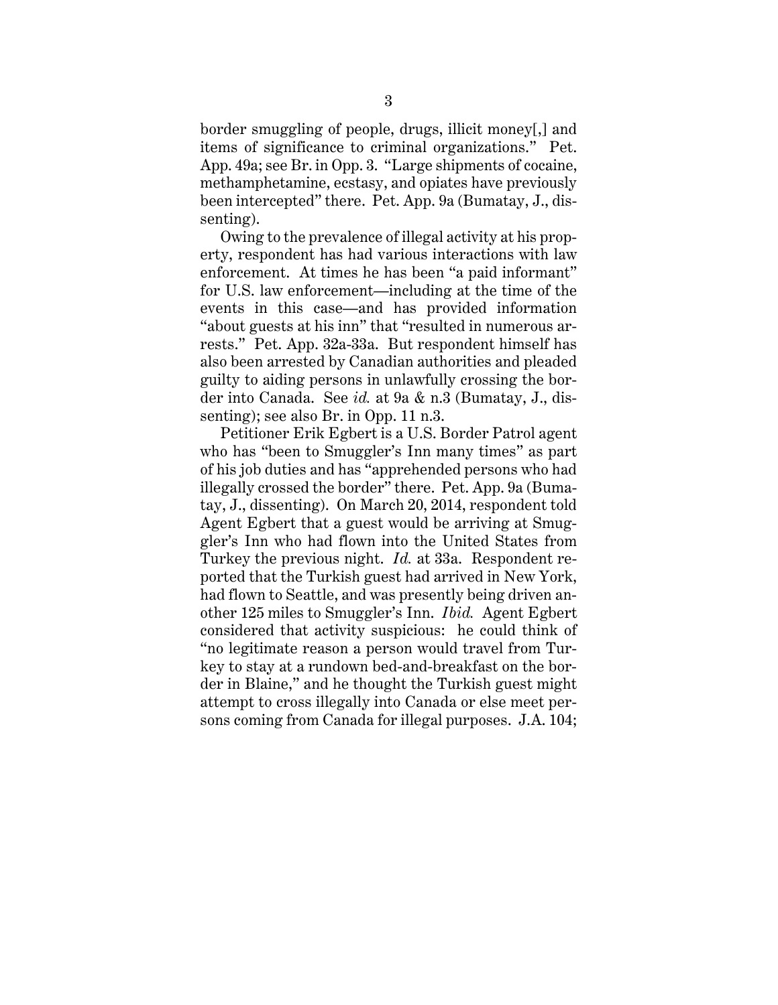border smuggling of people, drugs, illicit money[,] and items of significance to criminal organizations." Pet. App. 49a; see Br. in Opp. 3. "Large shipments of cocaine, methamphetamine, ecstasy, and opiates have previously been intercepted" there. Pet. App. 9a (Bumatay, J., dissenting).

Owing to the prevalence of illegal activity at his property, respondent has had various interactions with law enforcement. At times he has been "a paid informant" for U.S. law enforcement—including at the time of the events in this case—and has provided information "about guests at his inn" that "resulted in numerous arrests." Pet. App. 32a-33a. But respondent himself has also been arrested by Canadian authorities and pleaded guilty to aiding persons in unlawfully crossing the border into Canada. See *id.* at 9a & n.3 (Bumatay, J., dissenting); see also Br. in Opp. 11 n.3.

Petitioner Erik Egbert is a U.S. Border Patrol agent who has "been to Smuggler's Inn many times" as part of his job duties and has "apprehended persons who had illegally crossed the border" there. Pet. App. 9a (Bumatay, J., dissenting). On March 20, 2014, respondent told Agent Egbert that a guest would be arriving at Smuggler's Inn who had flown into the United States from Turkey the previous night. *Id.* at 33a. Respondent reported that the Turkish guest had arrived in New York, had flown to Seattle, and was presently being driven another 125 miles to Smuggler's Inn. *Ibid.* Agent Egbert considered that activity suspicious: he could think of "no legitimate reason a person would travel from Turkey to stay at a rundown bed-and-breakfast on the border in Blaine," and he thought the Turkish guest might attempt to cross illegally into Canada or else meet persons coming from Canada for illegal purposes. J.A. 104;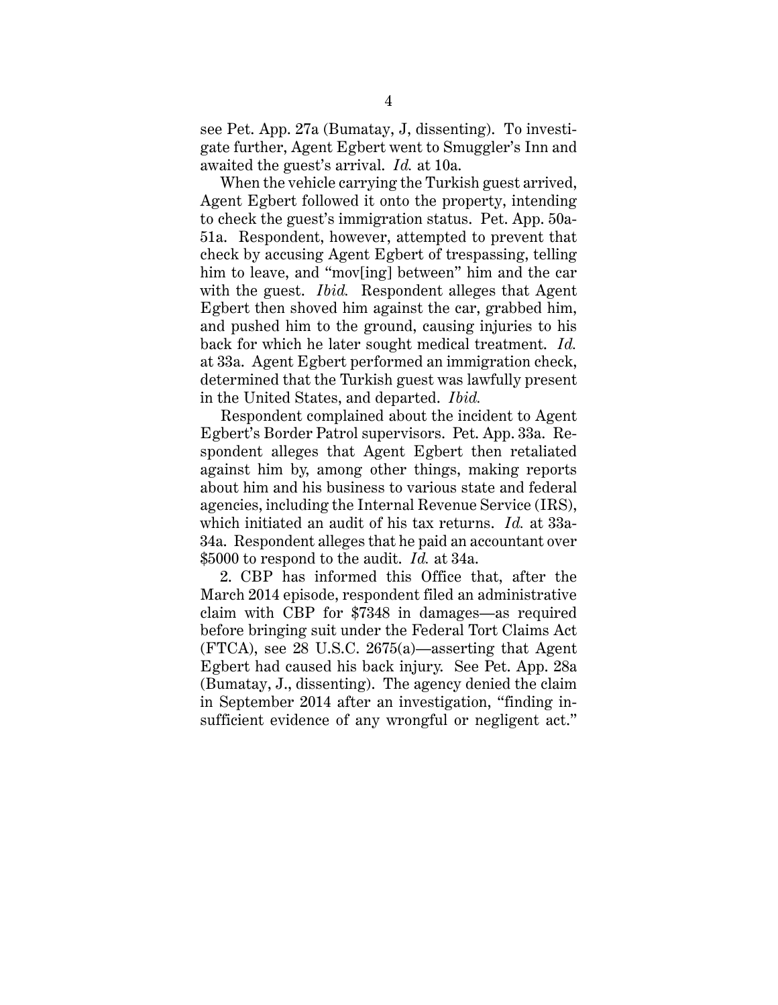see Pet. App. 27a (Bumatay, J, dissenting). To investigate further, Agent Egbert went to Smuggler's Inn and awaited the guest's arrival. *Id.* at 10a.

When the vehicle carrying the Turkish guest arrived, Agent Egbert followed it onto the property, intending to check the guest's immigration status. Pet. App. 50a-51a. Respondent, however, attempted to prevent that check by accusing Agent Egbert of trespassing, telling him to leave, and "mov[ing] between" him and the car with the guest. *Ibid.* Respondent alleges that Agent Egbert then shoved him against the car, grabbed him, and pushed him to the ground, causing injuries to his back for which he later sought medical treatment. *Id.* at 33a. Agent Egbert performed an immigration check, determined that the Turkish guest was lawfully present in the United States, and departed. *Ibid.*

Respondent complained about the incident to Agent Egbert's Border Patrol supervisors. Pet. App. 33a. Respondent alleges that Agent Egbert then retaliated against him by, among other things, making reports about him and his business to various state and federal agencies, including the Internal Revenue Service (IRS), which initiated an audit of his tax returns. *Id.* at 33a-34a. Respondent alleges that he paid an accountant over \$5000 to respond to the audit. *Id.* at 34a.

2. CBP has informed this Office that, after the March 2014 episode, respondent filed an administrative claim with CBP for \$7348 in damages—as required before bringing suit under the Federal Tort Claims Act (FTCA), see 28 U.S.C. 2675(a)—asserting that Agent Egbert had caused his back injury. See Pet. App. 28a (Bumatay, J., dissenting). The agency denied the claim in September 2014 after an investigation, "finding insufficient evidence of any wrongful or negligent act."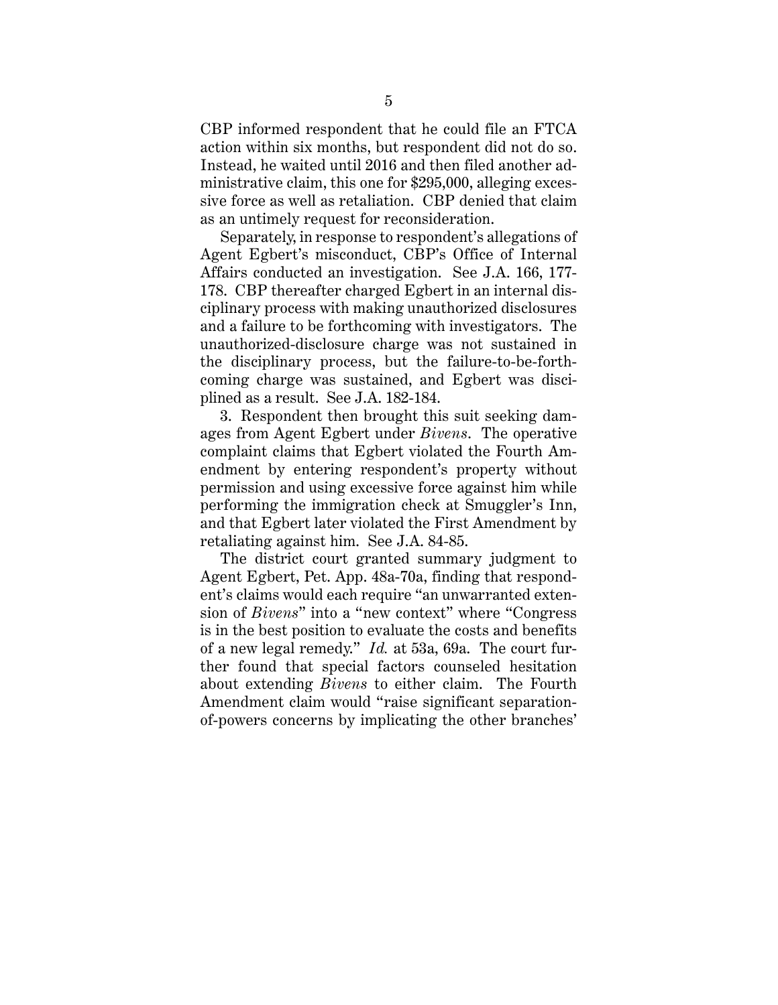CBP informed respondent that he could file an FTCA action within six months, but respondent did not do so. Instead, he waited until 2016 and then filed another administrative claim, this one for \$295,000, alleging excessive force as well as retaliation. CBP denied that claim as an untimely request for reconsideration.

Separately, in response to respondent's allegations of Agent Egbert's misconduct, CBP's Office of Internal Affairs conducted an investigation. See J.A. 166, 177- 178. CBP thereafter charged Egbert in an internal disciplinary process with making unauthorized disclosures and a failure to be forthcoming with investigators. The unauthorized-disclosure charge was not sustained in the disciplinary process, but the failure-to-be-forthcoming charge was sustained, and Egbert was disciplined as a result. See J.A. 182-184.

3. Respondent then brought this suit seeking damages from Agent Egbert under *Bivens*. The operative complaint claims that Egbert violated the Fourth Amendment by entering respondent's property without permission and using excessive force against him while performing the immigration check at Smuggler's Inn, and that Egbert later violated the First Amendment by retaliating against him. See J.A. 84-85.

The district court granted summary judgment to Agent Egbert, Pet. App. 48a-70a, finding that respondent's claims would each require "an unwarranted extension of *Bivens*" into a "new context" where "Congress is in the best position to evaluate the costs and benefits of a new legal remedy." *Id.* at 53a, 69a. The court further found that special factors counseled hesitation about extending *Bivens* to either claim. The Fourth Amendment claim would "raise significant separationof-powers concerns by implicating the other branches'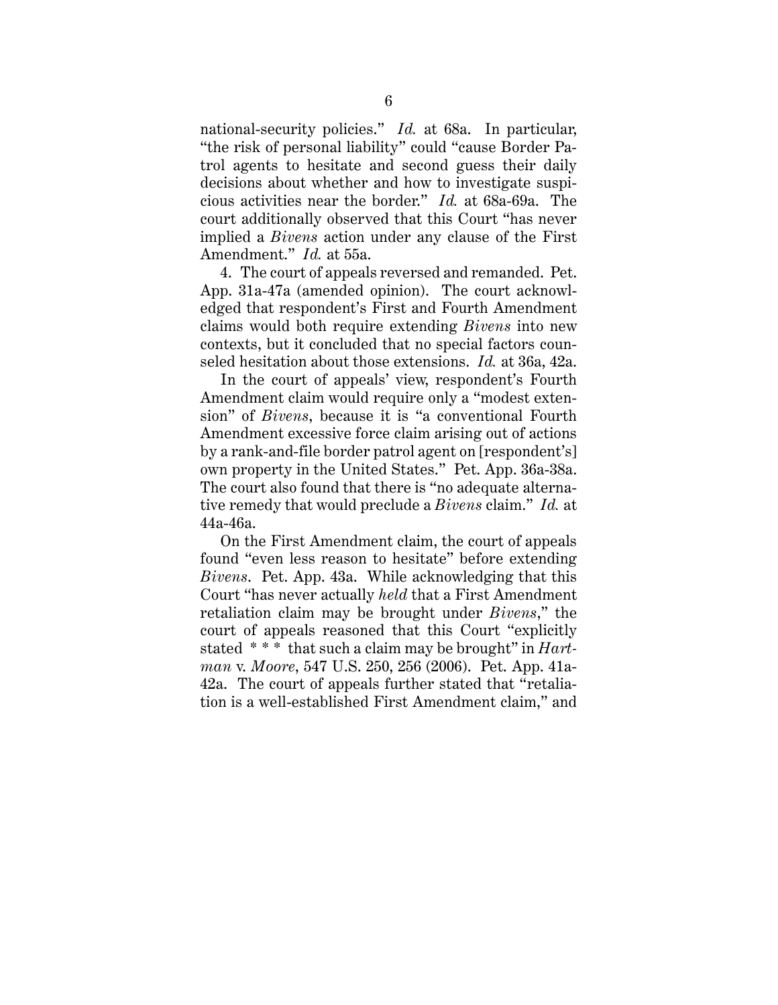national-security policies." *Id.* at 68a. In particular, "the risk of personal liability" could "cause Border Patrol agents to hesitate and second guess their daily decisions about whether and how to investigate suspicious activities near the border." *Id.* at 68a-69a. The court additionally observed that this Court "has never implied a *Bivens* action under any clause of the First Amendment." *Id.* at 55a.

4. The court of appeals reversed and remanded. Pet. App. 31a-47a (amended opinion). The court acknowledged that respondent's First and Fourth Amendment claims would both require extending *Bivens* into new contexts, but it concluded that no special factors counseled hesitation about those extensions. *Id.* at 36a, 42a.

In the court of appeals' view, respondent's Fourth Amendment claim would require only a "modest extension" of *Bivens*, because it is "a conventional Fourth Amendment excessive force claim arising out of actions by a rank-and-file border patrol agent on [respondent's] own property in the United States." Pet. App. 36a-38a. The court also found that there is "no adequate alternative remedy that would preclude a *Bivens* claim." *Id.* at 44a-46a.

On the First Amendment claim, the court of appeals found "even less reason to hesitate" before extending *Bivens*. Pet. App. 43a. While acknowledging that this Court "has never actually *held* that a First Amendment retaliation claim may be brought under *Bivens*," the court of appeals reasoned that this Court "explicitly stated \* \* \* that such a claim may be brought" in *Hartman* v. *Moore*, 547 U.S. 250, 256 (2006). Pet. App. 41a-42a. The court of appeals further stated that "retaliation is a well-established First Amendment claim," and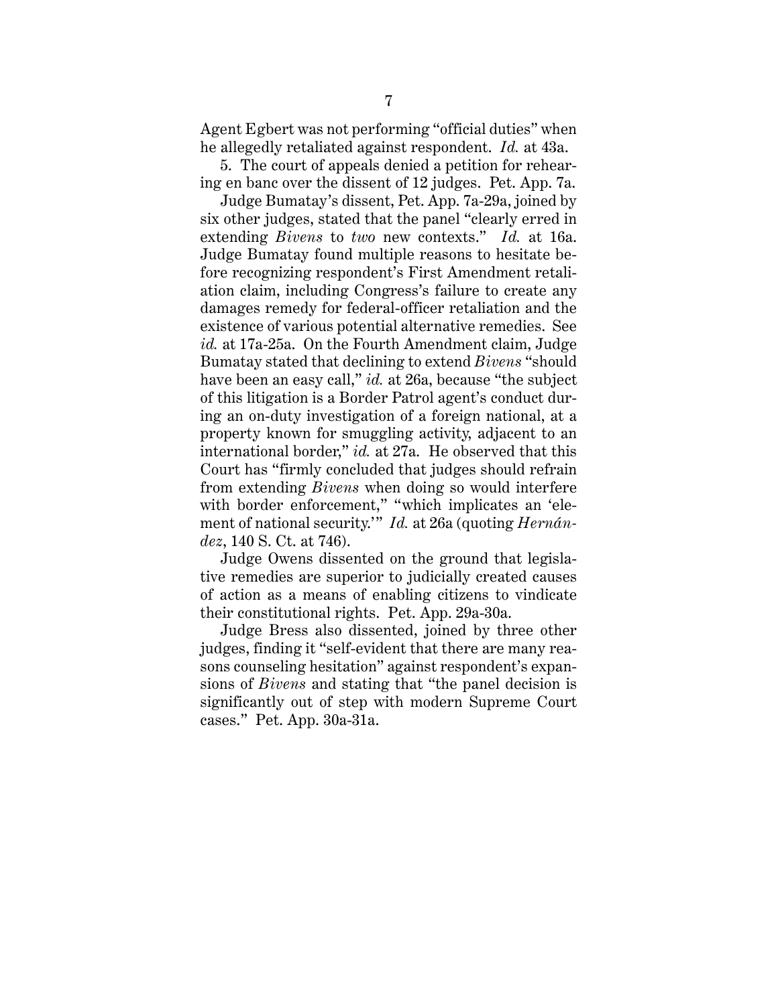Agent Egbert was not performing "official duties" when he allegedly retaliated against respondent. *Id.* at 43a.

5. The court of appeals denied a petition for rehearing en banc over the dissent of 12 judges. Pet. App. 7a.

Judge Bumatay's dissent, Pet. App. 7a-29a, joined by six other judges, stated that the panel "clearly erred in extending *Bivens* to *two* new contexts." *Id.* at 16a. Judge Bumatay found multiple reasons to hesitate before recognizing respondent's First Amendment retaliation claim, including Congress's failure to create any damages remedy for federal-officer retaliation and the existence of various potential alternative remedies. See *id.* at 17a-25a. On the Fourth Amendment claim, Judge Bumatay stated that declining to extend *Bivens* "should have been an easy call," *id.* at 26a, because "the subject of this litigation is a Border Patrol agent's conduct during an on-duty investigation of a foreign national, at a property known for smuggling activity, adjacent to an international border," *id.* at 27a. He observed that this Court has "firmly concluded that judges should refrain from extending *Bivens* when doing so would interfere with border enforcement," "which implicates an 'element of national security.'" *Id.* at 26a (quoting *Hernández*, 140 S. Ct. at 746).

Judge Owens dissented on the ground that legislative remedies are superior to judicially created causes of action as a means of enabling citizens to vindicate their constitutional rights. Pet. App. 29a-30a.

Judge Bress also dissented, joined by three other judges, finding it "self-evident that there are many reasons counseling hesitation" against respondent's expansions of *Bivens* and stating that "the panel decision is significantly out of step with modern Supreme Court cases." Pet. App. 30a-31a.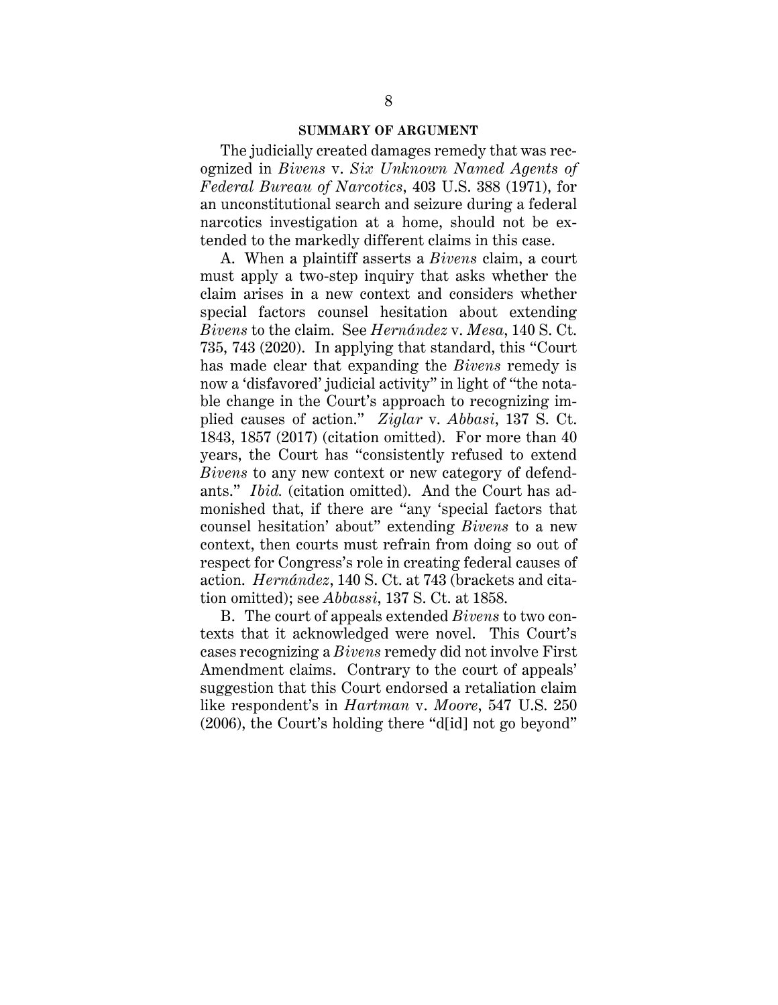#### **SUMMARY OF ARGUMENT**

The judicially created damages remedy that was recognized in *Bivens* v. *Six Unknown Named Agents of Federal Bureau of Narcotics*, 403 U.S. 388 (1971), for an unconstitutional search and seizure during a federal narcotics investigation at a home, should not be extended to the markedly different claims in this case.

A. When a plaintiff asserts a *Bivens* claim, a court must apply a two-step inquiry that asks whether the claim arises in a new context and considers whether special factors counsel hesitation about extending *Bivens* to the claim. See *Hernández* v. *Mesa*, 140 S. Ct. 735, 743 (2020). In applying that standard, this "Court has made clear that expanding the *Bivens* remedy is now a 'disfavored' judicial activity" in light of "the notable change in the Court's approach to recognizing implied causes of action." *Ziglar* v. *Abbasi*, 137 S. Ct. 1843, 1857 (2017) (citation omitted). For more than 40 years, the Court has "consistently refused to extend *Bivens* to any new context or new category of defendants." *Ibid.* (citation omitted). And the Court has admonished that, if there are "any 'special factors that counsel hesitation' about" extending *Bivens* to a new context, then courts must refrain from doing so out of respect for Congress's role in creating federal causes of action. *Hernández*, 140 S. Ct. at 743 (brackets and citation omitted); see *Abbassi*, 137 S. Ct. at 1858.

B. The court of appeals extended *Bivens* to two contexts that it acknowledged were novel. This Court's cases recognizing a *Bivens* remedy did not involve First Amendment claims. Contrary to the court of appeals' suggestion that this Court endorsed a retaliation claim like respondent's in *Hartman* v. *Moore*, 547 U.S. 250 (2006), the Court's holding there "d[id] not go beyond"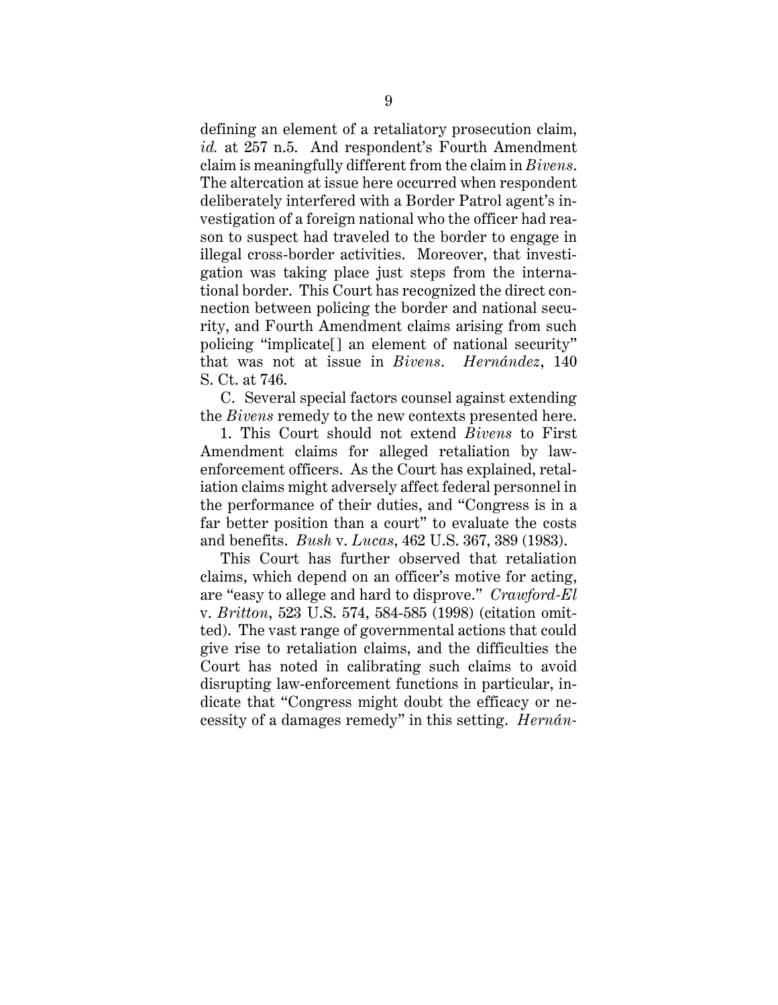defining an element of a retaliatory prosecution claim, *id.* at 257 n.5. And respondent's Fourth Amendment claim is meaningfully different from the claim in *Bivens*. The altercation at issue here occurred when respondent deliberately interfered with a Border Patrol agent's investigation of a foreign national who the officer had reason to suspect had traveled to the border to engage in illegal cross-border activities. Moreover, that investigation was taking place just steps from the international border. This Court has recognized the direct connection between policing the border and national security, and Fourth Amendment claims arising from such policing "implicate[] an element of national security" that was not at issue in *Bivens*. *Hernández*, 140 S. Ct. at 746.

C. Several special factors counsel against extending the *Bivens* remedy to the new contexts presented here.

1. This Court should not extend *Bivens* to First Amendment claims for alleged retaliation by lawenforcement officers. As the Court has explained, retaliation claims might adversely affect federal personnel in the performance of their duties, and "Congress is in a far better position than a court" to evaluate the costs and benefits. *Bush* v. *Lucas*, 462 U.S. 367, 389 (1983).

This Court has further observed that retaliation claims, which depend on an officer's motive for acting, are "easy to allege and hard to disprove." *Crawford-El*  v. *Britton*, 523 U.S. 574, 584-585 (1998) (citation omitted). The vast range of governmental actions that could give rise to retaliation claims, and the difficulties the Court has noted in calibrating such claims to avoid disrupting law-enforcement functions in particular, indicate that "Congress might doubt the efficacy or necessity of a damages remedy" in this setting. *Hernán-*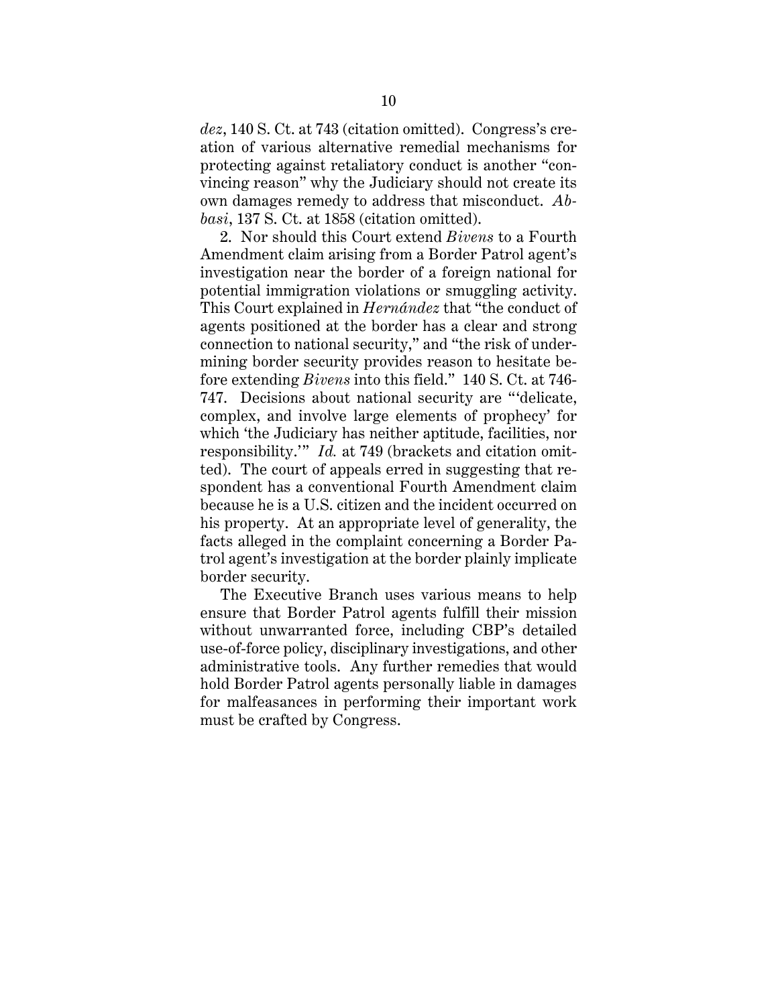*dez*, 140 S. Ct. at 743 (citation omitted). Congress's creation of various alternative remedial mechanisms for protecting against retaliatory conduct is another "convincing reason" why the Judiciary should not create its own damages remedy to address that misconduct. *Abbasi*, 137 S. Ct. at 1858 (citation omitted).

2. Nor should this Court extend *Bivens* to a Fourth Amendment claim arising from a Border Patrol agent's investigation near the border of a foreign national for potential immigration violations or smuggling activity. This Court explained in *Hernández* that "the conduct of agents positioned at the border has a clear and strong connection to national security," and "the risk of undermining border security provides reason to hesitate before extending *Bivens* into this field." 140 S. Ct. at 746- 747. Decisions about national security are "'delicate, complex, and involve large elements of prophecy' for which 'the Judiciary has neither aptitude, facilities, nor responsibility.'" *Id.* at 749 (brackets and citation omitted). The court of appeals erred in suggesting that respondent has a conventional Fourth Amendment claim because he is a U.S. citizen and the incident occurred on his property. At an appropriate level of generality, the facts alleged in the complaint concerning a Border Patrol agent's investigation at the border plainly implicate border security.

The Executive Branch uses various means to help ensure that Border Patrol agents fulfill their mission without unwarranted force, including CBP's detailed use-of-force policy, disciplinary investigations, and other administrative tools. Any further remedies that would hold Border Patrol agents personally liable in damages for malfeasances in performing their important work must be crafted by Congress.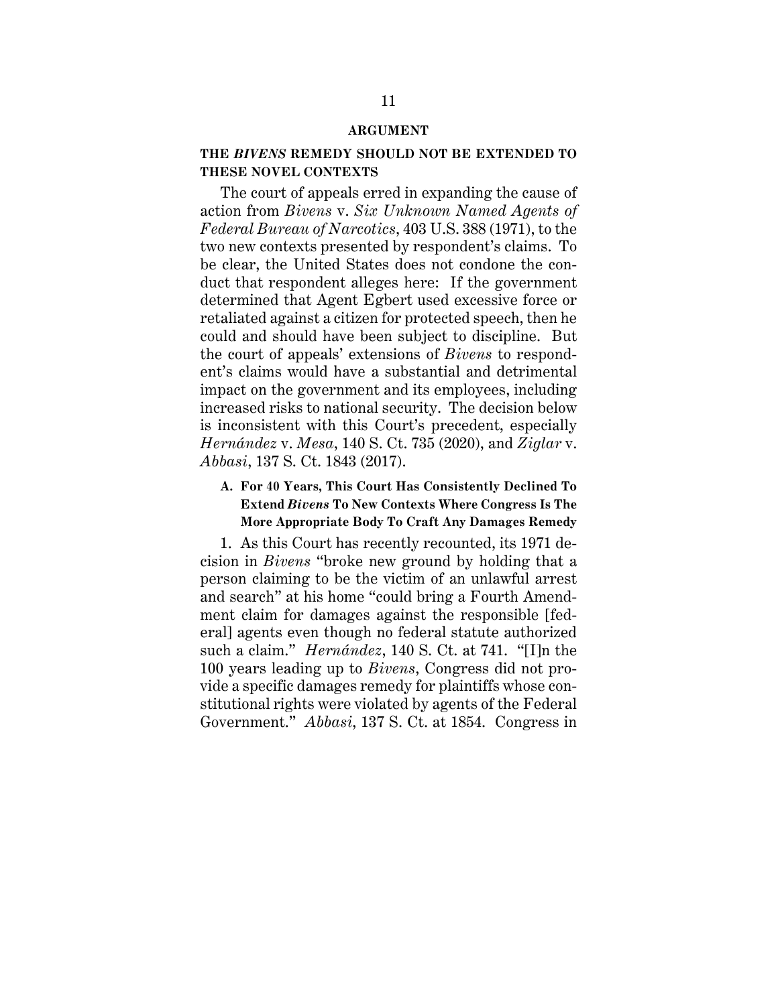#### **ARGUMENT**

## **THE** *BIVENS* **REMEDY SHOULD NOT BE EXTENDED TO THESE NOVEL CONTEXTS**

The court of appeals erred in expanding the cause of action from *Bivens* v. *Six Unknown Named Agents of Federal Bureau of Narcotics*, 403 U.S. 388 (1971), to the two new contexts presented by respondent's claims. To be clear, the United States does not condone the conduct that respondent alleges here: If the government determined that Agent Egbert used excessive force or retaliated against a citizen for protected speech, then he could and should have been subject to discipline. But the court of appeals' extensions of *Bivens* to respondent's claims would have a substantial and detrimental impact on the government and its employees, including increased risks to national security. The decision below is inconsistent with this Court's precedent, especially *Hernández* v. *Mesa*, 140 S. Ct. 735 (2020), and *Ziglar* v. *Abbasi*, 137 S. Ct. 1843 (2017).

## **A. For 40 Years, This Court Has Consistently Declined To Extend** *Bivens* **To New Contexts Where Congress Is The More Appropriate Body To Craft Any Damages Remedy**

1. As this Court has recently recounted, its 1971 decision in *Bivens* "broke new ground by holding that a person claiming to be the victim of an unlawful arrest and search" at his home "could bring a Fourth Amendment claim for damages against the responsible [federal] agents even though no federal statute authorized such a claim." *Hernández*, 140 S. Ct. at 741. "[I]n the 100 years leading up to *Bivens*, Congress did not provide a specific damages remedy for plaintiffs whose constitutional rights were violated by agents of the Federal Government." *Abbasi*, 137 S. Ct. at 1854. Congress in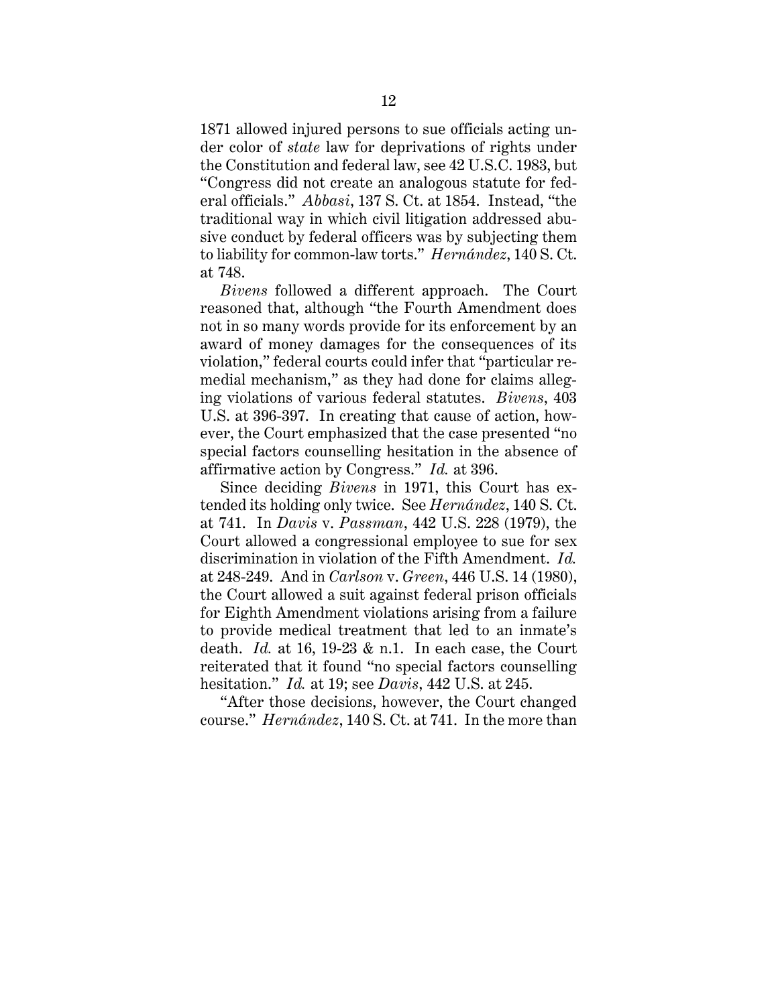1871 allowed injured persons to sue officials acting under color of *state* law for deprivations of rights under the Constitution and federal law, see 42 U.S.C. 1983, but "Congress did not create an analogous statute for federal officials." *Abbasi*, 137 S. Ct. at 1854. Instead, "the traditional way in which civil litigation addressed abusive conduct by federal officers was by subjecting them to liability for common-law torts." *Hernández*, 140 S. Ct. at 748.

*Bivens* followed a different approach. The Court reasoned that, although "the Fourth Amendment does not in so many words provide for its enforcement by an award of money damages for the consequences of its violation," federal courts could infer that "particular remedial mechanism," as they had done for claims alleging violations of various federal statutes. *Bivens*, 403 U.S. at 396-397. In creating that cause of action, however, the Court emphasized that the case presented "no special factors counselling hesitation in the absence of affirmative action by Congress." *Id.* at 396.

Since deciding *Bivens* in 1971, this Court has extended its holding only twice. See *Hernández*, 140 S. Ct. at 741. In *Davis* v. *Passman*, 442 U.S. 228 (1979), the Court allowed a congressional employee to sue for sex discrimination in violation of the Fifth Amendment. *Id.* at 248-249. And in *Carlson* v. *Green*, 446 U.S. 14 (1980), the Court allowed a suit against federal prison officials for Eighth Amendment violations arising from a failure to provide medical treatment that led to an inmate's death. *Id.* at 16, 19-23 & n.1. In each case, the Court reiterated that it found "no special factors counselling hesitation." *Id.* at 19; see *Davis*, 442 U.S. at 245.

"After those decisions, however, the Court changed course." *Hernández*, 140 S. Ct. at 741. In the more than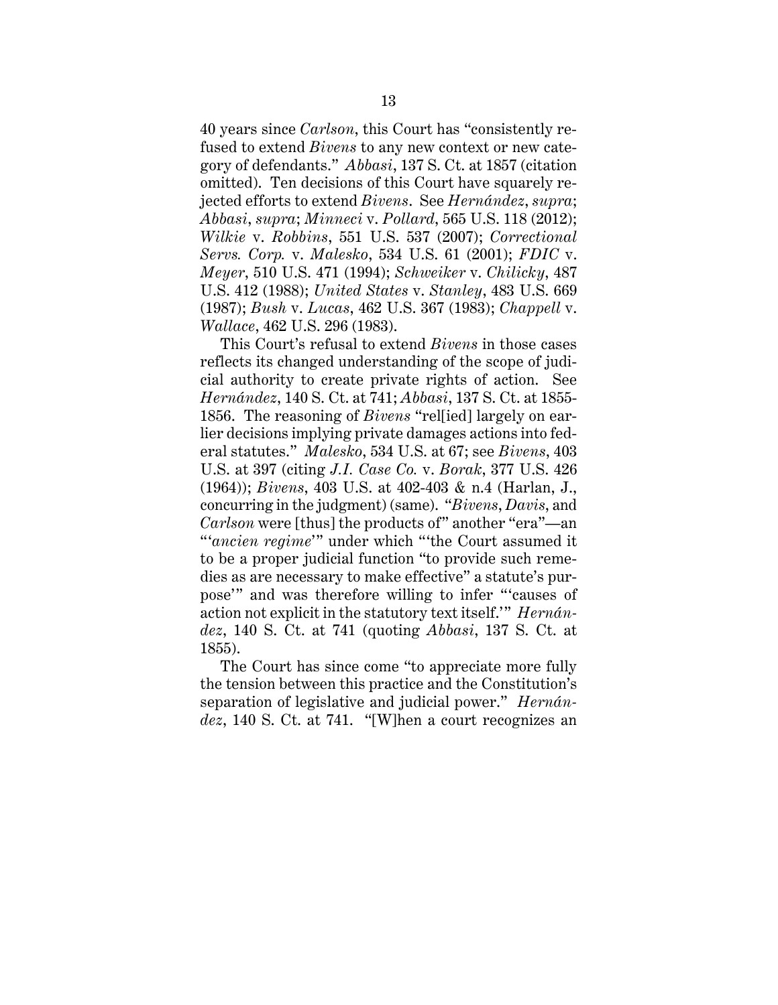40 years since *Carlson*, this Court has "consistently refused to extend *Bivens* to any new context or new category of defendants." *Abbasi*, 137 S. Ct. at 1857 (citation omitted). Ten decisions of this Court have squarely rejected efforts to extend *Bivens*. See *Hernández*, *supra*; *Abbasi*, *supra*; *Minneci* v. *Pollard*, 565 U.S. 118 (2012); *Wilkie* v. *Robbins*, 551 U.S. 537 (2007); *Correctional Servs. Corp.* v. *Malesko*, 534 U.S. 61 (2001); *FDIC* v. *Meyer*, 510 U.S. 471 (1994); *Schweiker* v. *Chilicky*, 487 U.S. 412 (1988); *United States* v. *Stanley*, 483 U.S. 669 (1987); *Bush* v. *Lucas*, 462 U.S. 367 (1983); *Chappell* v. *Wallace*, 462 U.S. 296 (1983).

This Court's refusal to extend *Bivens* in those cases reflects its changed understanding of the scope of judicial authority to create private rights of action. See *Hernández*, 140 S. Ct. at 741; *Abbasi*, 137 S. Ct. at 1855- 1856. The reasoning of *Bivens* "rel[ied] largely on earlier decisions implying private damages actions into federal statutes." *Malesko*, 534 U.S. at 67; see *Bivens*, 403 U.S. at 397 (citing *J.I. Case Co.* v. *Borak*, 377 U.S. 426 (1964)); *Bivens*, 403 U.S. at 402-403 & n.4 (Harlan, J., concurring in the judgment) (same). "*Bivens*, *Davis*, and *Carlson* were [thus] the products of" another "era"—an "'*ancien regime*'" under which "'the Court assumed it to be a proper judicial function "to provide such remedies as are necessary to make effective" a statute's purpose'" and was therefore willing to infer "'causes of action not explicit in the statutory text itself.'" *Hernández*, 140 S. Ct. at 741 (quoting *Abbasi*, 137 S. Ct. at 1855).

The Court has since come "to appreciate more fully the tension between this practice and the Constitution's separation of legislative and judicial power." *Hernández*, 140 S. Ct. at 741. "[W]hen a court recognizes an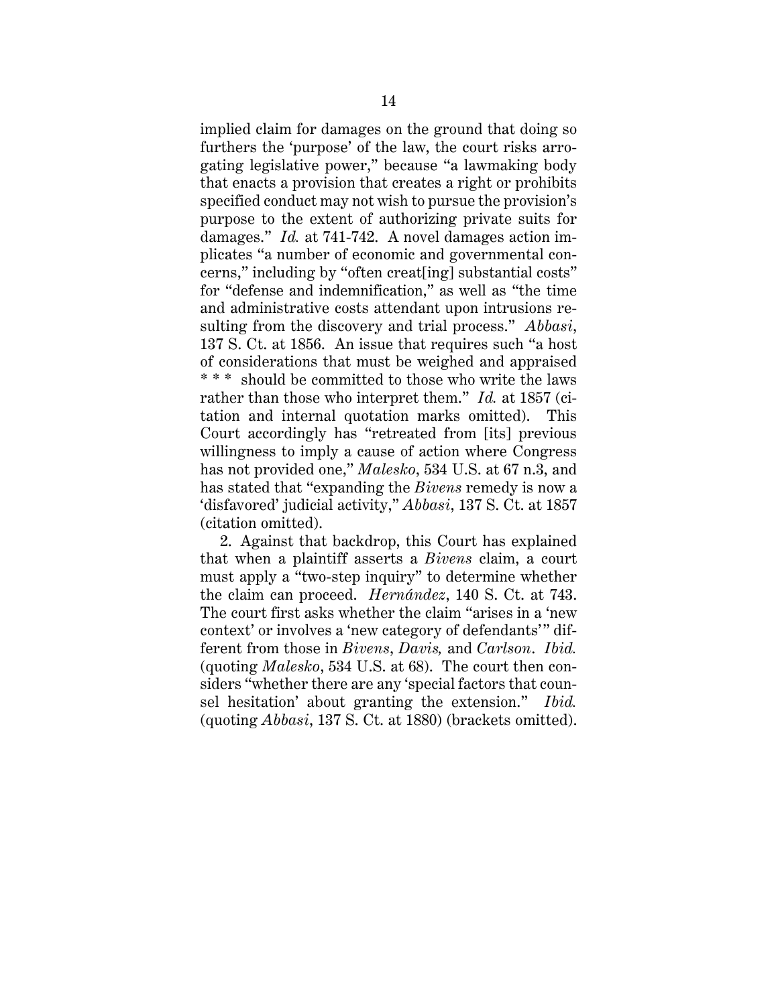implied claim for damages on the ground that doing so furthers the 'purpose' of the law, the court risks arrogating legislative power," because "a lawmaking body that enacts a provision that creates a right or prohibits specified conduct may not wish to pursue the provision's purpose to the extent of authorizing private suits for damages." *Id.* at 741-742. A novel damages action implicates "a number of economic and governmental concerns," including by "often creat[ing] substantial costs" for "defense and indemnification," as well as "the time and administrative costs attendant upon intrusions resulting from the discovery and trial process." *Abbasi*, 137 S. Ct. at 1856. An issue that requires such "a host of considerations that must be weighed and appraised \* \* \* should be committed to those who write the laws rather than those who interpret them." *Id.* at 1857 (citation and internal quotation marks omitted). This Court accordingly has "retreated from [its] previous willingness to imply a cause of action where Congress has not provided one," *Malesko*, 534 U.S. at 67 n.3, and has stated that "expanding the *Bivens* remedy is now a 'disfavored' judicial activity," *Abbasi*, 137 S. Ct. at 1857 (citation omitted).

2. Against that backdrop, this Court has explained that when a plaintiff asserts a *Bivens* claim, a court must apply a "two-step inquiry" to determine whether the claim can proceed. *Hernández*, 140 S. Ct. at 743. The court first asks whether the claim "arises in a 'new context' or involves a 'new category of defendants'" different from those in *Bivens*, *Davis,* and *Carlson*. *Ibid.* (quoting *Malesko*, 534 U.S. at 68). The court then considers "whether there are any 'special factors that counsel hesitation' about granting the extension." *Ibid.* (quoting *Abbasi*, 137 S. Ct. at 1880) (brackets omitted).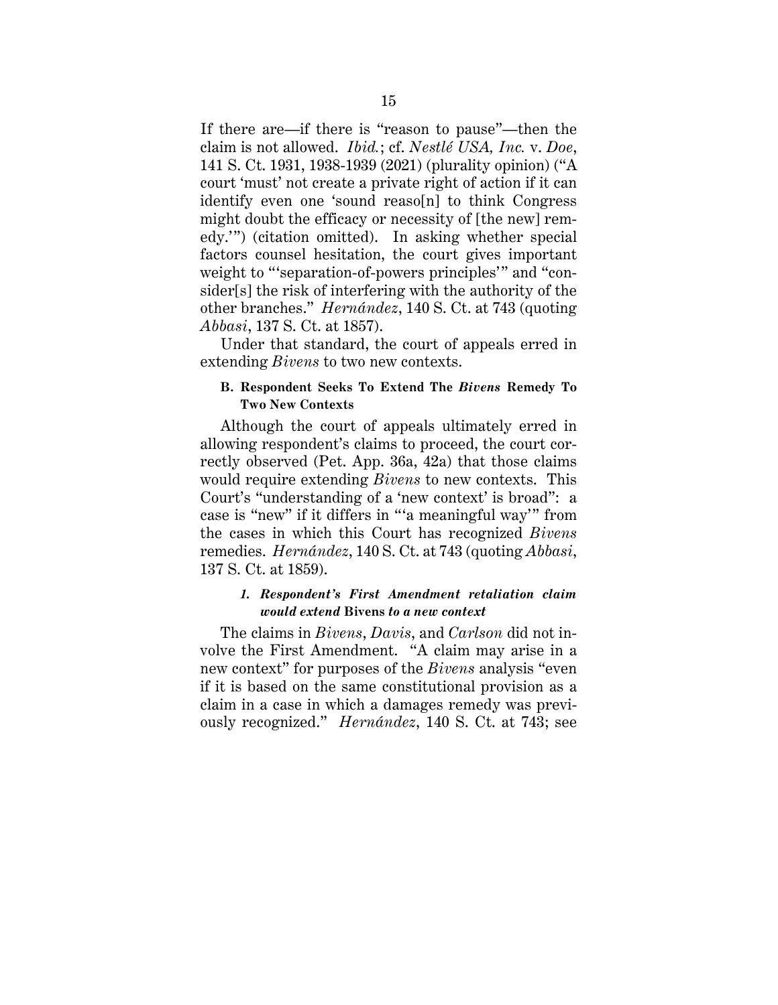If there are—if there is "reason to pause"—then the claim is not allowed. *Ibid.*; cf. *Nestlé USA, Inc.* v. *Doe*, 141 S. Ct. 1931, 1938-1939 (2021) (plurality opinion) ("A court 'must' not create a private right of action if it can identify even one 'sound reaso[n] to think Congress might doubt the efficacy or necessity of [the new] remedy.'") (citation omitted). In asking whether special factors counsel hesitation, the court gives important weight to "'separation-of-powers principles'" and "consider[s] the risk of interfering with the authority of the other branches." *Hernández*, 140 S. Ct. at 743 (quoting *Abbasi*, 137 S. Ct. at 1857).

Under that standard, the court of appeals erred in extending *Bivens* to two new contexts.

## **B. Respondent Seeks To Extend The** *Bivens* **Remedy To Two New Contexts**

Although the court of appeals ultimately erred in allowing respondent's claims to proceed, the court correctly observed (Pet. App. 36a, 42a) that those claims would require extending *Bivens* to new contexts. This Court's "understanding of a 'new context' is broad": a case is "new" if it differs in "'a meaningful way'" from the cases in which this Court has recognized *Bivens* remedies. *Hernández*, 140 S. Ct. at 743 (quoting *Abbasi*, 137 S. Ct. at 1859).

## *1. Respondent's First Amendment retaliation claim would extend* **Bivens** *to a new context*

The claims in *Bivens*, *Davis*, and *Carlson* did not involve the First Amendment. "A claim may arise in a new context" for purposes of the *Bivens* analysis "even if it is based on the same constitutional provision as a claim in a case in which a damages remedy was previously recognized." *Hernández*, 140 S. Ct. at 743; see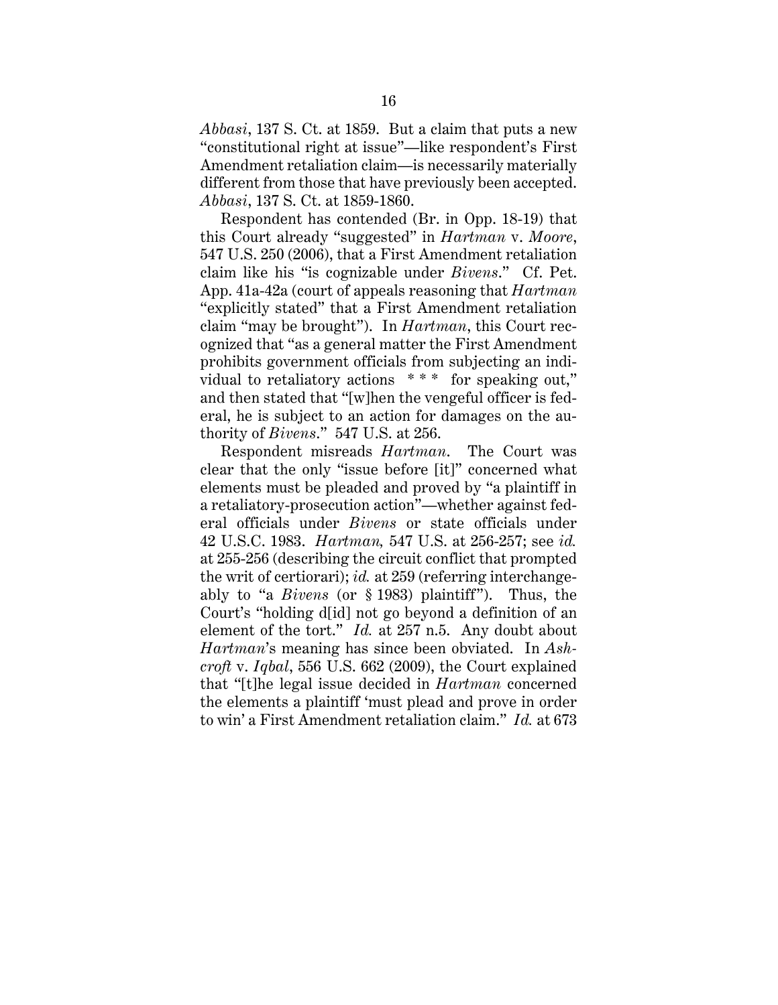*Abbasi*, 137 S. Ct. at 1859. But a claim that puts a new "constitutional right at issue"—like respondent's First Amendment retaliation claim—is necessarily materially different from those that have previously been accepted. *Abbasi*, 137 S. Ct. at 1859-1860.

Respondent has contended (Br. in Opp. 18-19) that this Court already "suggested" in *Hartman* v. *Moore*, 547 U.S. 250 (2006), that a First Amendment retaliation claim like his "is cognizable under *Bivens*." Cf. Pet. App. 41a-42a (court of appeals reasoning that *Hartman* "explicitly stated" that a First Amendment retaliation claim "may be brought"). In *Hartman*, this Court recognized that "as a general matter the First Amendment prohibits government officials from subjecting an individual to retaliatory actions \*\*\* for speaking out," and then stated that "[w]hen the vengeful officer is federal, he is subject to an action for damages on the authority of *Bivens*." 547 U.S. at 256.

Respondent misreads *Hartman*. The Court was clear that the only "issue before [it]" concerned what elements must be pleaded and proved by "a plaintiff in a retaliatory-prosecution action"—whether against federal officials under *Bivens* or state officials under 42 U.S.C. 1983. *Hartman,* 547 U.S. at 256-257; see *id.* at 255-256 (describing the circuit conflict that prompted the writ of certiorari); *id.* at 259 (referring interchangeably to "a *Bivens* (or § 1983) plaintiff"). Thus, the Court's "holding d[id] not go beyond a definition of an element of the tort." *Id.* at 257 n.5. Any doubt about *Hartman*'s meaning has since been obviated. In *Ashcroft* v. *Iqbal*, 556 U.S. 662 (2009), the Court explained that "[t]he legal issue decided in *Hartman* concerned the elements a plaintiff 'must plead and prove in order to win' a First Amendment retaliation claim." *Id.* at 673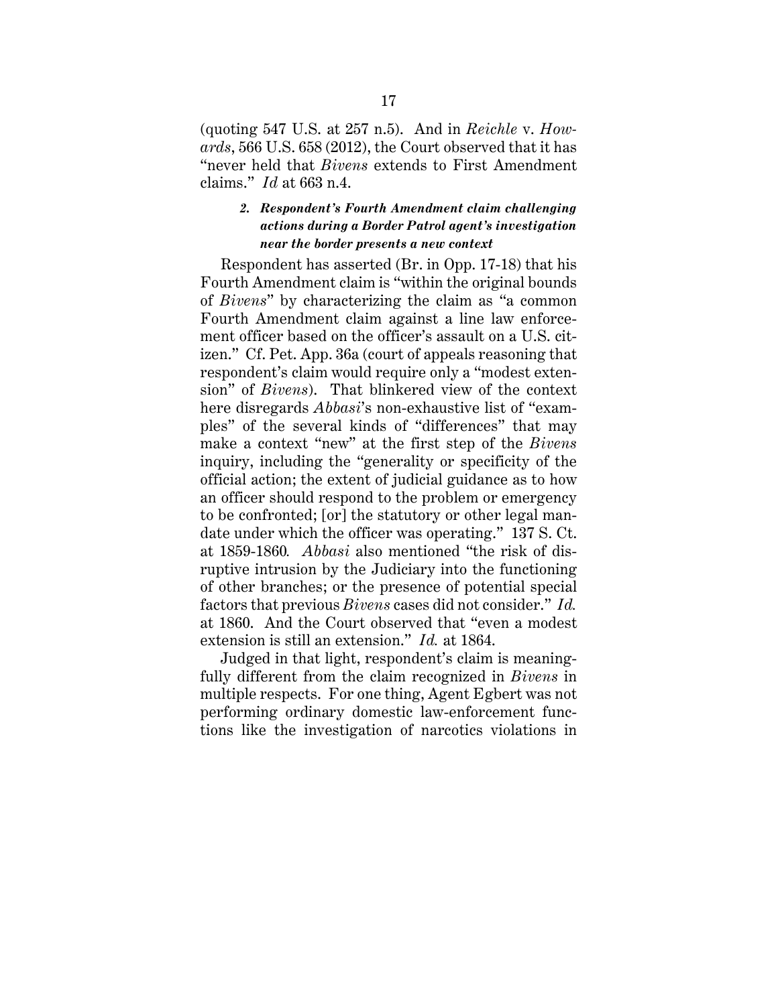(quoting 547 U.S. at 257 n.5). And in *Reichle* v. *Howards*, 566 U.S. 658 (2012), the Court observed that it has "never held that *Bivens* extends to First Amendment claims." *Id* at 663 n.4.

## *2. Respondent's Fourth Amendment claim challenging actions during a Border Patrol agent's investigation near the border presents a new context*

Respondent has asserted (Br. in Opp. 17-18) that his Fourth Amendment claim is "within the original bounds of *Bivens*" by characterizing the claim as "a common Fourth Amendment claim against a line law enforcement officer based on the officer's assault on a U.S. citizen." Cf. Pet. App. 36a (court of appeals reasoning that respondent's claim would require only a "modest extension" of *Bivens*). That blinkered view of the context here disregards *Abbasi*'s non-exhaustive list of "examples" of the several kinds of "differences" that may make a context "new" at the first step of the *Bivens* inquiry, including the "generality or specificity of the official action; the extent of judicial guidance as to how an officer should respond to the problem or emergency to be confronted; [or] the statutory or other legal mandate under which the officer was operating." 137 S. Ct. at 1859-1860*. Abbasi* also mentioned "the risk of disruptive intrusion by the Judiciary into the functioning of other branches; or the presence of potential special factors that previous *Bivens* cases did not consider." *Id.* at 1860. And the Court observed that "even a modest extension is still an extension." *Id.* at 1864.

Judged in that light, respondent's claim is meaningfully different from the claim recognized in *Bivens* in multiple respects. For one thing, Agent Egbert was not performing ordinary domestic law-enforcement functions like the investigation of narcotics violations in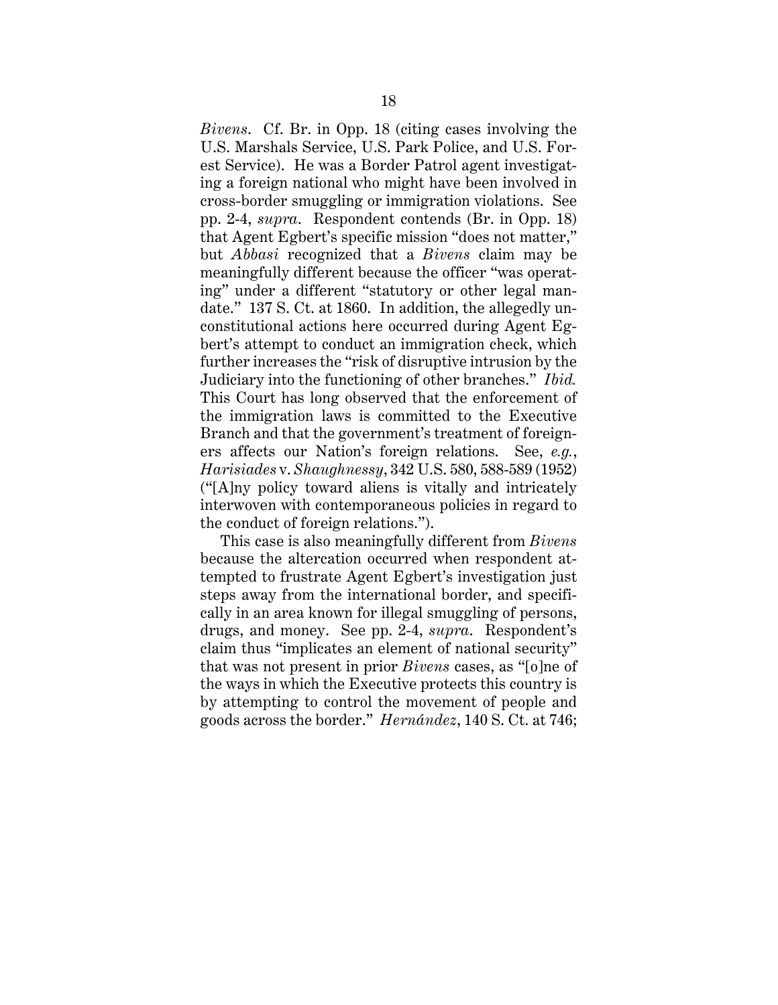*Bivens*. Cf. Br. in Opp. 18 (citing cases involving the U.S. Marshals Service, U.S. Park Police, and U.S. Forest Service). He was a Border Patrol agent investigating a foreign national who might have been involved in cross-border smuggling or immigration violations. See pp. 2-4, *supra*. Respondent contends (Br. in Opp. 18) that Agent Egbert's specific mission "does not matter," but *Abbasi* recognized that a *Bivens* claim may be meaningfully different because the officer "was operating" under a different "statutory or other legal mandate." 137 S. Ct. at 1860. In addition, the allegedly unconstitutional actions here occurred during Agent Egbert's attempt to conduct an immigration check, which further increases the "risk of disruptive intrusion by the Judiciary into the functioning of other branches." *Ibid.* This Court has long observed that the enforcement of the immigration laws is committed to the Executive Branch and that the government's treatment of foreigners affects our Nation's foreign relations. See, *e.g.*, *Harisiades* v. *Shaughnessy*, 342 U.S. 580, 588-589 (1952) ("[A]ny policy toward aliens is vitally and intricately interwoven with contemporaneous policies in regard to the conduct of foreign relations.").

This case is also meaningfully different from *Bivens*  because the altercation occurred when respondent attempted to frustrate Agent Egbert's investigation just steps away from the international border, and specifically in an area known for illegal smuggling of persons, drugs, and money. See pp. 2-4, *supra*. Respondent's claim thus "implicates an element of national security" that was not present in prior *Bivens* cases, as "[o]ne of the ways in which the Executive protects this country is by attempting to control the movement of people and goods across the border." *Hernández*, 140 S. Ct. at 746;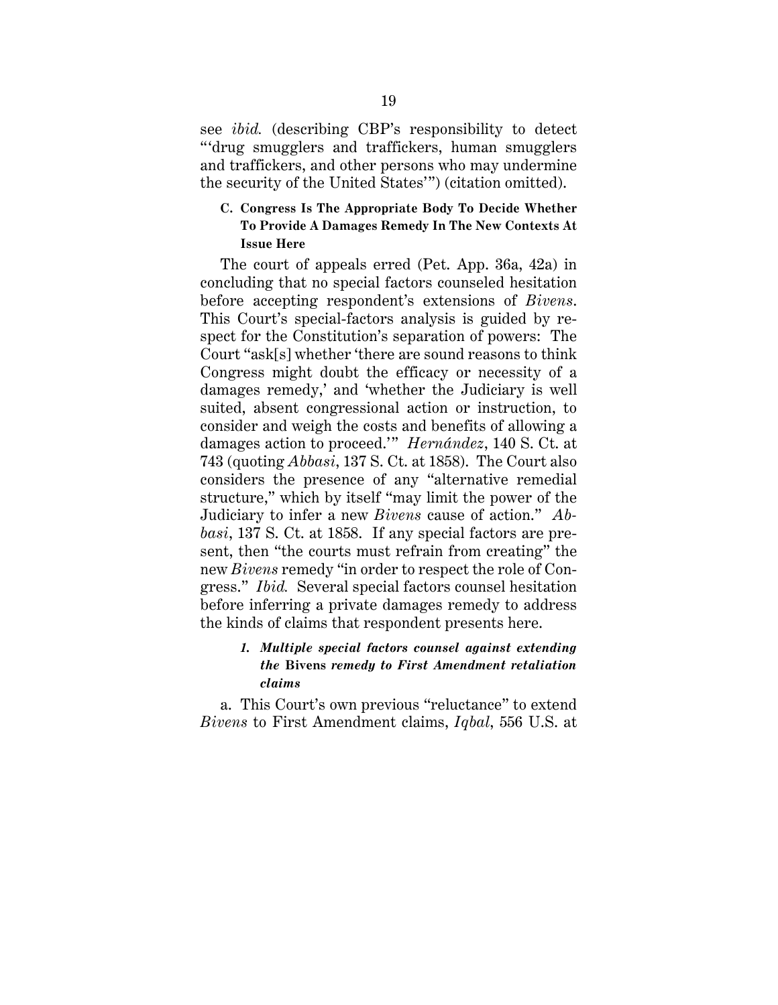see *ibid.* (describing CBP's responsibility to detect "'drug smugglers and traffickers, human smugglers and traffickers, and other persons who may undermine the security of the United States'") (citation omitted).

## **C. Congress Is The Appropriate Body To Decide Whether To Provide A Damages Remedy In The New Contexts At Issue Here**

The court of appeals erred (Pet. App. 36a, 42a) in concluding that no special factors counseled hesitation before accepting respondent's extensions of *Bivens*. This Court's special-factors analysis is guided by respect for the Constitution's separation of powers: The Court "ask[s] whether 'there are sound reasons to think Congress might doubt the efficacy or necessity of a damages remedy,' and 'whether the Judiciary is well suited, absent congressional action or instruction, to consider and weigh the costs and benefits of allowing a damages action to proceed.'" *Hernández*, 140 S. Ct. at 743 (quoting *Abbasi*, 137 S. Ct. at 1858). The Court also considers the presence of any "alternative remedial structure," which by itself "may limit the power of the Judiciary to infer a new *Bivens* cause of action." *Abbasi*, 137 S. Ct. at 1858. If any special factors are present, then "the courts must refrain from creating" the new *Bivens* remedy "in order to respect the role of Congress." *Ibid.* Several special factors counsel hesitation before inferring a private damages remedy to address the kinds of claims that respondent presents here.

## *1. Multiple special factors counsel against extending the* **Bivens** *remedy to First Amendment retaliation claims*

a. This Court's own previous "reluctance" to extend *Bivens* to First Amendment claims, *Iqbal*, 556 U.S. at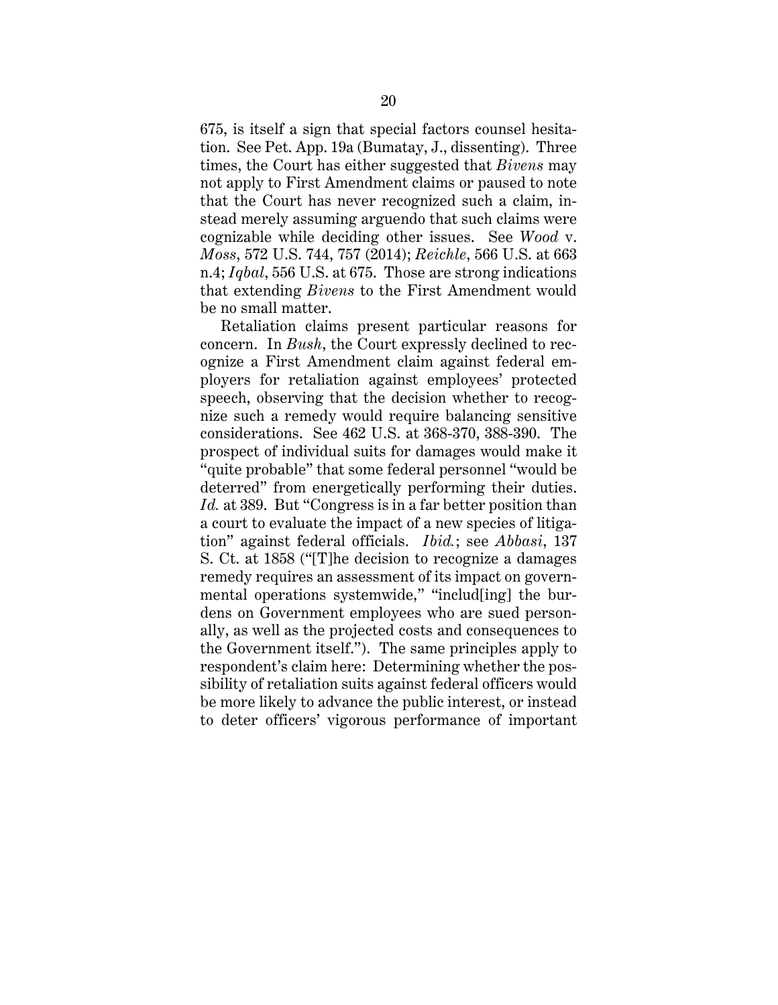675, is itself a sign that special factors counsel hesitation. See Pet. App. 19a (Bumatay, J., dissenting). Three times, the Court has either suggested that *Bivens* may not apply to First Amendment claims or paused to note that the Court has never recognized such a claim, instead merely assuming arguendo that such claims were cognizable while deciding other issues. See *Wood* v. *Moss*, 572 U.S. 744, 757 (2014); *Reichle*, 566 U.S. at 663 n.4; *Iqbal*, 556 U.S. at 675. Those are strong indications that extending *Bivens* to the First Amendment would be no small matter.

Retaliation claims present particular reasons for concern. In *Bush*, the Court expressly declined to recognize a First Amendment claim against federal employers for retaliation against employees' protected speech, observing that the decision whether to recognize such a remedy would require balancing sensitive considerations. See 462 U.S. at 368-370, 388-390. The prospect of individual suits for damages would make it "quite probable" that some federal personnel "would be deterred" from energetically performing their duties. *Id.* at 389. But "Congress is in a far better position than a court to evaluate the impact of a new species of litigation" against federal officials. *Ibid.*; see *Abbasi*, 137 S. Ct. at 1858 ("[T]he decision to recognize a damages remedy requires an assessment of its impact on governmental operations systemwide," "includ[ing] the burdens on Government employees who are sued personally, as well as the projected costs and consequences to the Government itself."). The same principles apply to respondent's claim here: Determining whether the possibility of retaliation suits against federal officers would be more likely to advance the public interest, or instead to deter officers' vigorous performance of important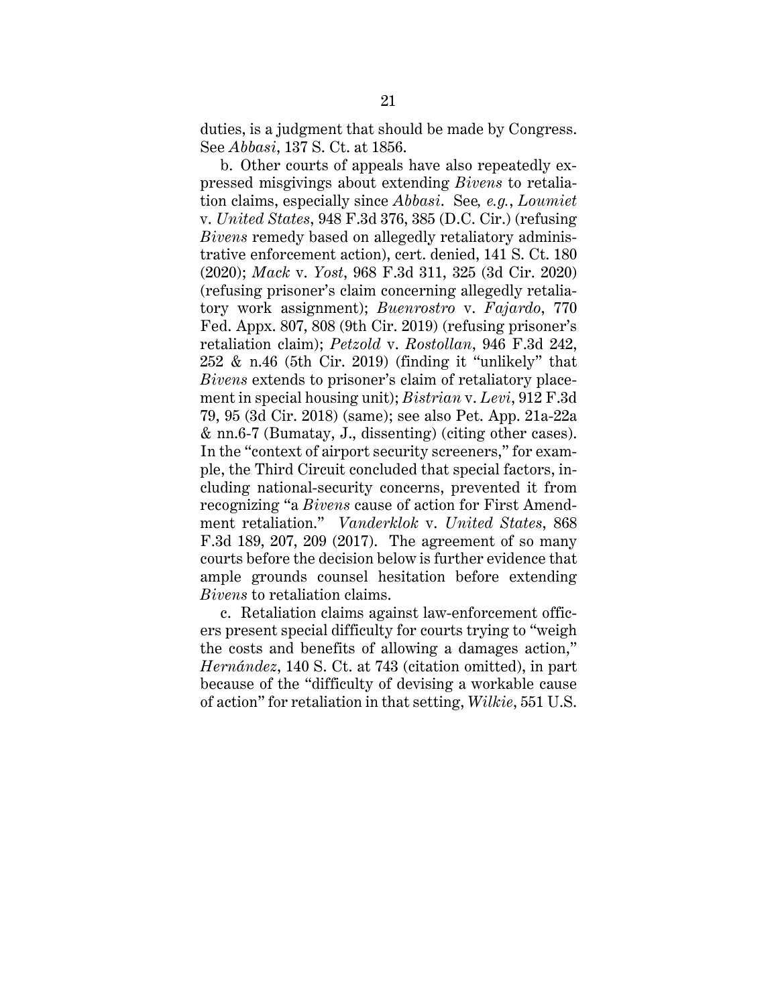duties, is a judgment that should be made by Congress. See *Abbasi*, 137 S. Ct. at 1856.

b. Other courts of appeals have also repeatedly expressed misgivings about extending *Bivens* to retaliation claims, especially since *Abbasi*. See*, e.g.*, *Loumiet*  v. *United States*, 948 F.3d 376, 385 (D.C. Cir.) (refusing *Bivens* remedy based on allegedly retaliatory administrative enforcement action), cert. denied, 141 S. Ct. 180 (2020); *Mack* v. *Yost*, 968 F.3d 311, 325 (3d Cir. 2020) (refusing prisoner's claim concerning allegedly retaliatory work assignment); *Buenrostro* v. *Fajardo*, 770 Fed. Appx. 807, 808 (9th Cir. 2019) (refusing prisoner's retaliation claim); *Petzold* v. *Rostollan*, 946 F.3d 242, 252 & n.46 (5th Cir. 2019) (finding it "unlikely" that *Bivens* extends to prisoner's claim of retaliatory placement in special housing unit); *Bistrian* v. *Levi*, 912 F.3d 79, 95 (3d Cir. 2018) (same); see also Pet. App. 21a-22a & nn.6-7 (Bumatay, J., dissenting) (citing other cases). In the "context of airport security screeners," for example, the Third Circuit concluded that special factors, including national-security concerns, prevented it from recognizing "a *Bivens* cause of action for First Amendment retaliation." *Vanderklok* v. *United States*, 868 F.3d 189, 207, 209 (2017). The agreement of so many courts before the decision below is further evidence that ample grounds counsel hesitation before extending *Bivens* to retaliation claims.

c. Retaliation claims against law-enforcement officers present special difficulty for courts trying to "weigh the costs and benefits of allowing a damages action," *Hernández*, 140 S. Ct. at 743 (citation omitted), in part because of the "difficulty of devising a workable cause of action" for retaliation in that setting, *Wilkie*, 551 U.S.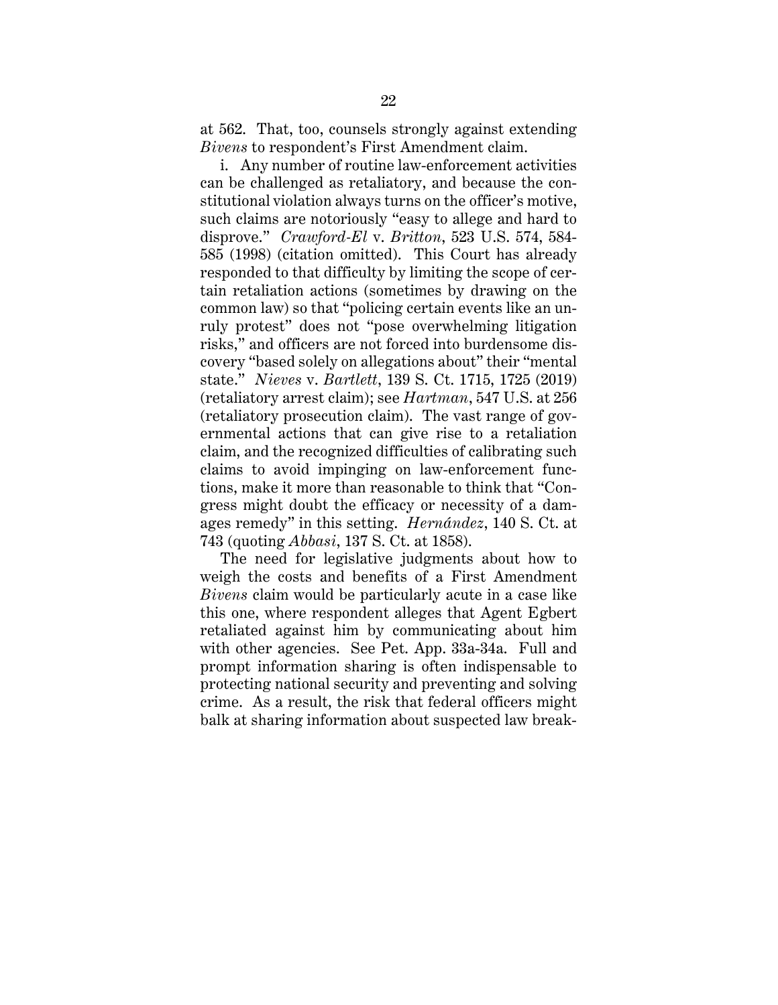at 562. That, too, counsels strongly against extending *Bivens* to respondent's First Amendment claim.

i. Any number of routine law-enforcement activities can be challenged as retaliatory, and because the constitutional violation always turns on the officer's motive, such claims are notoriously "easy to allege and hard to disprove." *Crawford-El* v. *Britton*, 523 U.S. 574, 584- 585 (1998) (citation omitted). This Court has already responded to that difficulty by limiting the scope of certain retaliation actions (sometimes by drawing on the common law) so that "policing certain events like an unruly protest" does not "pose overwhelming litigation risks," and officers are not forced into burdensome discovery "based solely on allegations about" their "mental state." *Nieves* v. *Bartlett*, 139 S. Ct. 1715, 1725 (2019) (retaliatory arrest claim); see *Hartman*, 547 U.S. at 256 (retaliatory prosecution claim). The vast range of governmental actions that can give rise to a retaliation claim, and the recognized difficulties of calibrating such claims to avoid impinging on law-enforcement functions, make it more than reasonable to think that "Congress might doubt the efficacy or necessity of a damages remedy" in this setting. *Hernández*, 140 S. Ct. at 743 (quoting *Abbasi*, 137 S. Ct. at 1858).

The need for legislative judgments about how to weigh the costs and benefits of a First Amendment *Bivens* claim would be particularly acute in a case like this one, where respondent alleges that Agent Egbert retaliated against him by communicating about him with other agencies. See Pet. App. 33a-34a. Full and prompt information sharing is often indispensable to protecting national security and preventing and solving crime. As a result, the risk that federal officers might balk at sharing information about suspected law break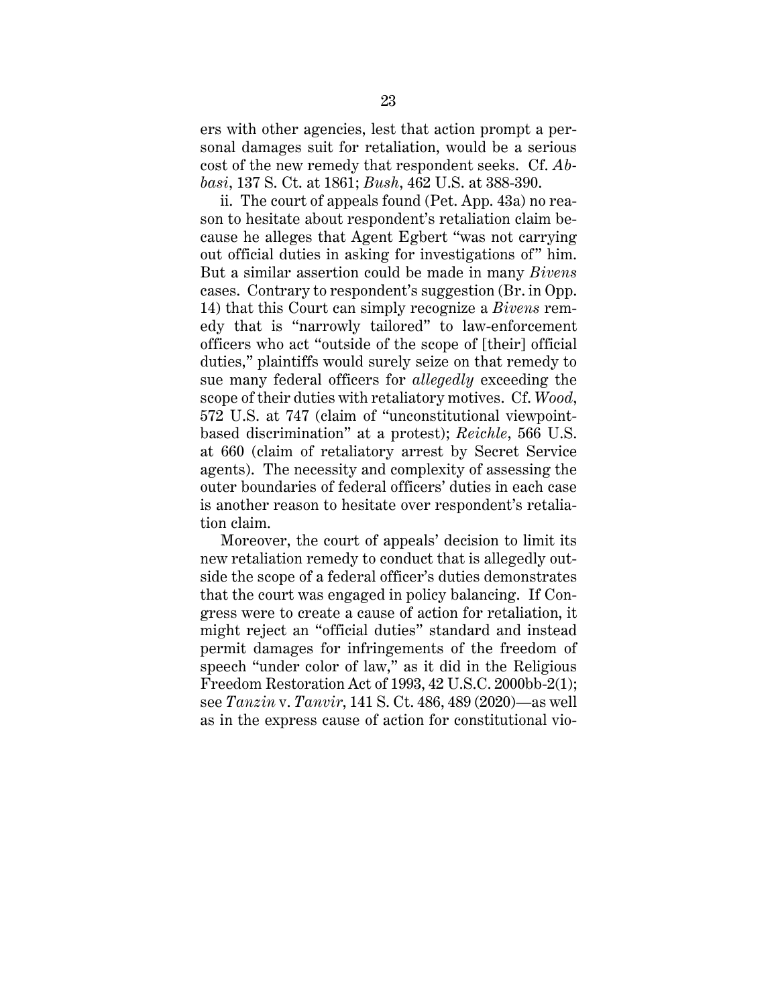ers with other agencies, lest that action prompt a personal damages suit for retaliation, would be a serious cost of the new remedy that respondent seeks. Cf. *Abbasi*, 137 S. Ct. at 1861; *Bush*, 462 U.S. at 388-390.

ii. The court of appeals found (Pet. App. 43a) no reason to hesitate about respondent's retaliation claim because he alleges that Agent Egbert "was not carrying out official duties in asking for investigations of" him. But a similar assertion could be made in many *Bivens*  cases. Contrary to respondent's suggestion (Br. in Opp. 14) that this Court can simply recognize a *Bivens* remedy that is "narrowly tailored" to law-enforcement officers who act "outside of the scope of [their] official duties," plaintiffs would surely seize on that remedy to sue many federal officers for *allegedly* exceeding the scope of their duties with retaliatory motives. Cf. *Wood*, 572 U.S. at 747 (claim of "unconstitutional viewpointbased discrimination" at a protest); *Reichle*, 566 U.S. at 660 (claim of retaliatory arrest by Secret Service agents). The necessity and complexity of assessing the outer boundaries of federal officers' duties in each case is another reason to hesitate over respondent's retaliation claim.

Moreover, the court of appeals' decision to limit its new retaliation remedy to conduct that is allegedly outside the scope of a federal officer's duties demonstrates that the court was engaged in policy balancing. If Congress were to create a cause of action for retaliation, it might reject an "official duties" standard and instead permit damages for infringements of the freedom of speech "under color of law," as it did in the Religious Freedom Restoration Act of 1993, 42 U.S.C. 2000bb-2(1); see *Tanzin* v. *Tanvir*, 141 S. Ct. 486, 489 (2020)—as well as in the express cause of action for constitutional vio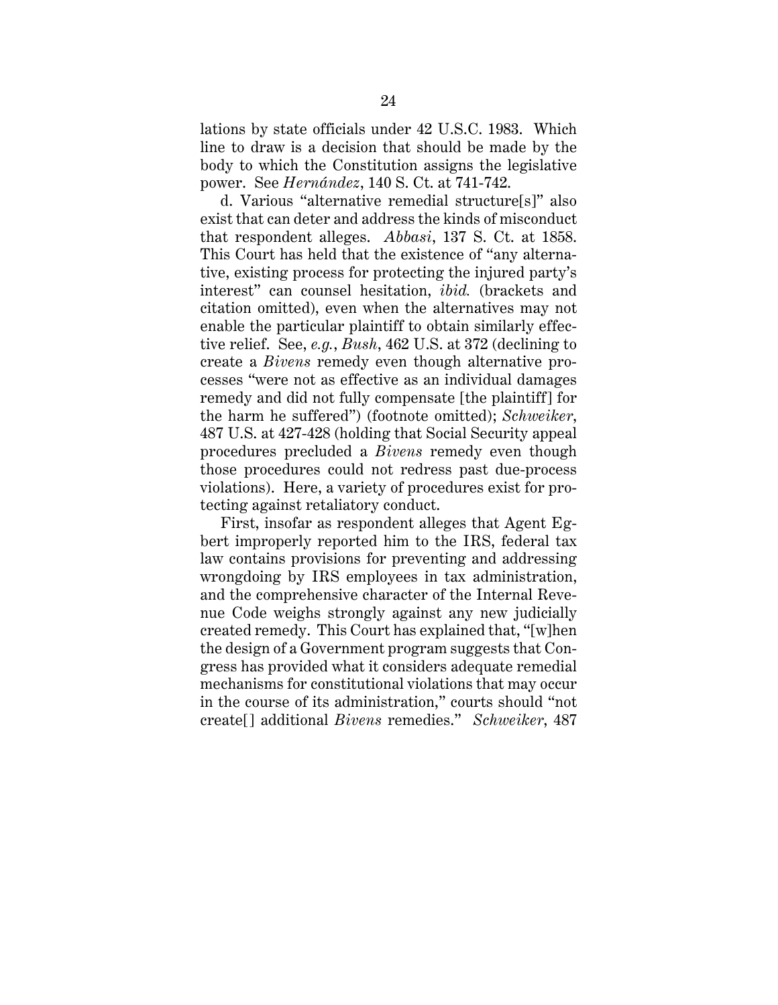lations by state officials under 42 U.S.C. 1983. Which line to draw is a decision that should be made by the body to which the Constitution assigns the legislative power. See *Hernández*, 140 S. Ct. at 741-742.

d. Various "alternative remedial structure[s]" also exist that can deter and address the kinds of misconduct that respondent alleges. *Abbasi*, 137 S. Ct. at 1858. This Court has held that the existence of "any alternative, existing process for protecting the injured party's interest" can counsel hesitation, *ibid.* (brackets and citation omitted), even when the alternatives may not enable the particular plaintiff to obtain similarly effective relief. See, *e.g.*, *Bush*, 462 U.S. at 372 (declining to create a *Bivens* remedy even though alternative processes "were not as effective as an individual damages remedy and did not fully compensate [the plaintiff] for the harm he suffered") (footnote omitted); *Schweiker*, 487 U.S. at 427-428 (holding that Social Security appeal procedures precluded a *Bivens* remedy even though those procedures could not redress past due-process violations). Here, a variety of procedures exist for protecting against retaliatory conduct.

First, insofar as respondent alleges that Agent Egbert improperly reported him to the IRS, federal tax law contains provisions for preventing and addressing wrongdoing by IRS employees in tax administration, and the comprehensive character of the Internal Revenue Code weighs strongly against any new judicially created remedy. This Court has explained that, "[w]hen the design of a Government program suggests that Congress has provided what it considers adequate remedial mechanisms for constitutional violations that may occur in the course of its administration," courts should "not create[] additional *Bivens* remedies." *Schweiker*, 487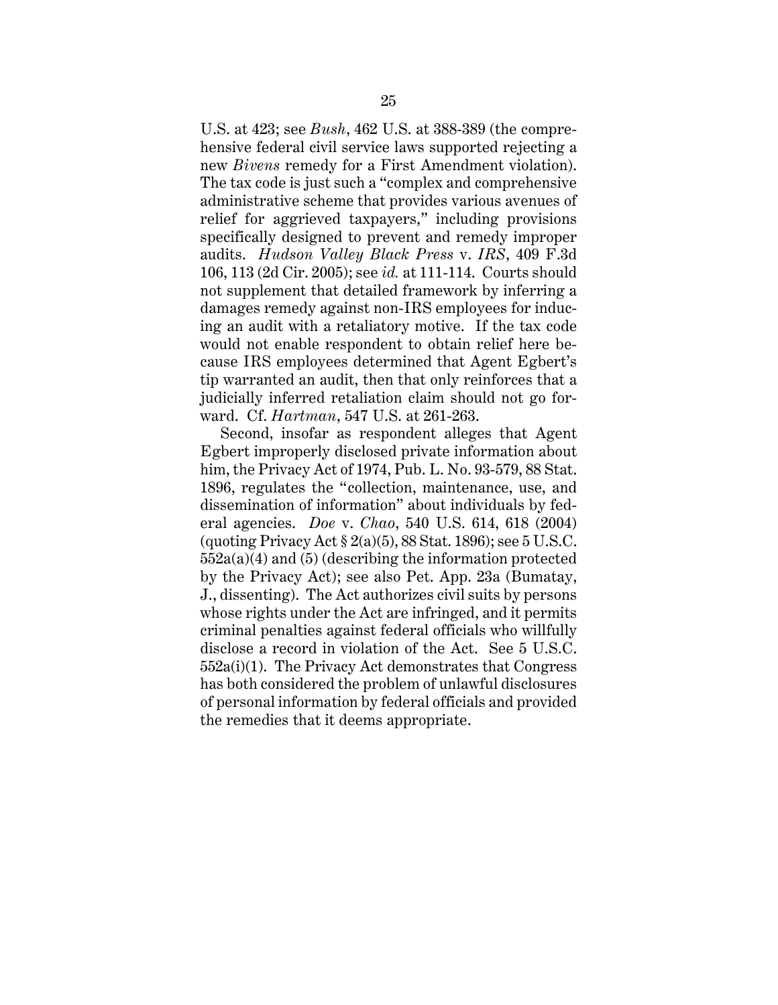U.S. at 423; see *Bush*, 462 U.S. at 388-389 (the comprehensive federal civil service laws supported rejecting a new *Bivens* remedy for a First Amendment violation). The tax code is just such a "complex and comprehensive administrative scheme that provides various avenues of relief for aggrieved taxpayers," including provisions specifically designed to prevent and remedy improper audits. *Hudson Valley Black Press* v. *IRS*, 409 F.3d 106, 113 (2d Cir. 2005); see *id.* at 111-114. Courts should not supplement that detailed framework by inferring a damages remedy against non-IRS employees for inducing an audit with a retaliatory motive. If the tax code would not enable respondent to obtain relief here because IRS employees determined that Agent Egbert's tip warranted an audit, then that only reinforces that a judicially inferred retaliation claim should not go forward. Cf. *Hartman*, 547 U.S. at 261-263.

Second, insofar as respondent alleges that Agent Egbert improperly disclosed private information about him, the Privacy Act of 1974, Pub. L. No. 93-579, 88 Stat. 1896, regulates the "collection, maintenance, use, and dissemination of information" about individuals by federal agencies. *Doe* v. *Chao*, 540 U.S. 614, 618 (2004) (quoting Privacy Act  $\S 2(a)(5)$ , 88 Stat. 1896); see 5 U.S.C. 552a(a)(4) and (5) (describing the information protected by the Privacy Act); see also Pet. App. 23a (Bumatay, J., dissenting). The Act authorizes civil suits by persons whose rights under the Act are infringed, and it permits criminal penalties against federal officials who willfully disclose a record in violation of the Act. See 5 U.S.C. 552a(i)(1). The Privacy Act demonstrates that Congress has both considered the problem of unlawful disclosures of personal information by federal officials and provided the remedies that it deems appropriate.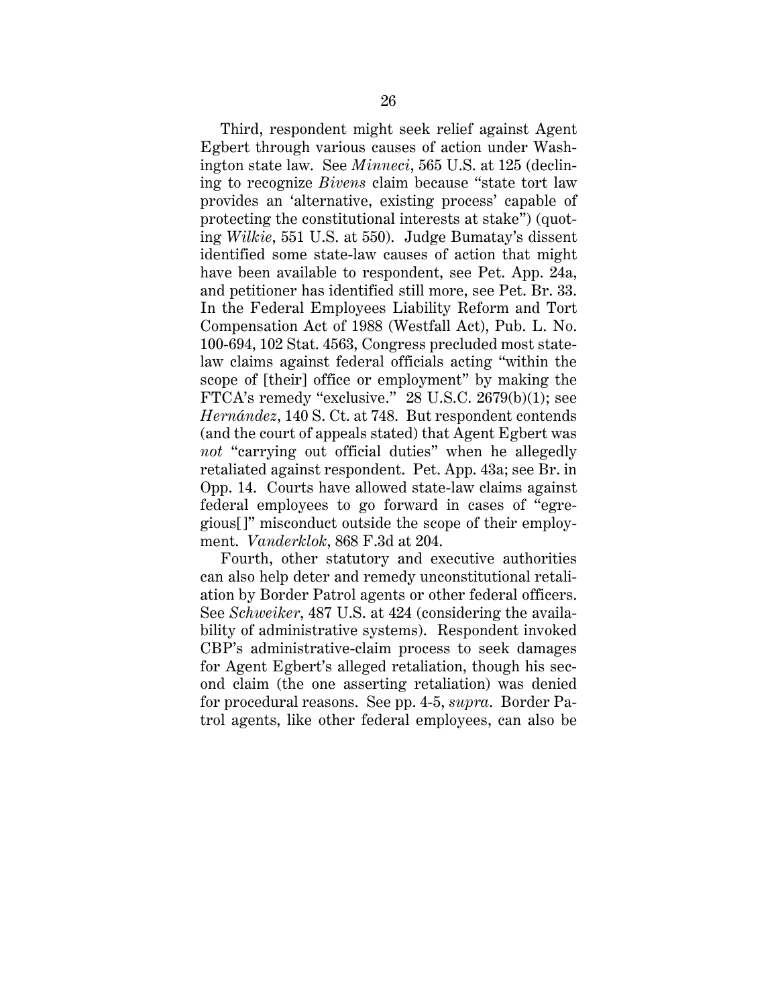Third, respondent might seek relief against Agent Egbert through various causes of action under Washington state law. See *Minneci*, 565 U.S. at 125 (declining to recognize *Bivens* claim because "state tort law provides an 'alternative, existing process' capable of protecting the constitutional interests at stake") (quoting *Wilkie*, 551 U.S. at 550). Judge Bumatay's dissent identified some state-law causes of action that might have been available to respondent, see Pet. App. 24a, and petitioner has identified still more, see Pet. Br. 33. In the Federal Employees Liability Reform and Tort Compensation Act of 1988 (Westfall Act), Pub. L. No. 100-694, 102 Stat. 4563, Congress precluded most statelaw claims against federal officials acting "within the scope of [their] office or employment" by making the FTCA's remedy "exclusive." 28 U.S.C. 2679(b)(1); see *Hernández*, 140 S. Ct. at 748. But respondent contends (and the court of appeals stated) that Agent Egbert was *not* "carrying out official duties" when he allegedly retaliated against respondent. Pet. App. 43a; see Br. in Opp. 14. Courts have allowed state-law claims against federal employees to go forward in cases of "egregious[]" misconduct outside the scope of their employment. *Vanderklok*, 868 F.3d at 204.

Fourth, other statutory and executive authorities can also help deter and remedy unconstitutional retaliation by Border Patrol agents or other federal officers. See *Schweiker*, 487 U.S. at 424 (considering the availability of administrative systems). Respondent invoked CBP's administrative-claim process to seek damages for Agent Egbert's alleged retaliation, though his second claim (the one asserting retaliation) was denied for procedural reasons. See pp. 4-5, *supra*. Border Patrol agents, like other federal employees, can also be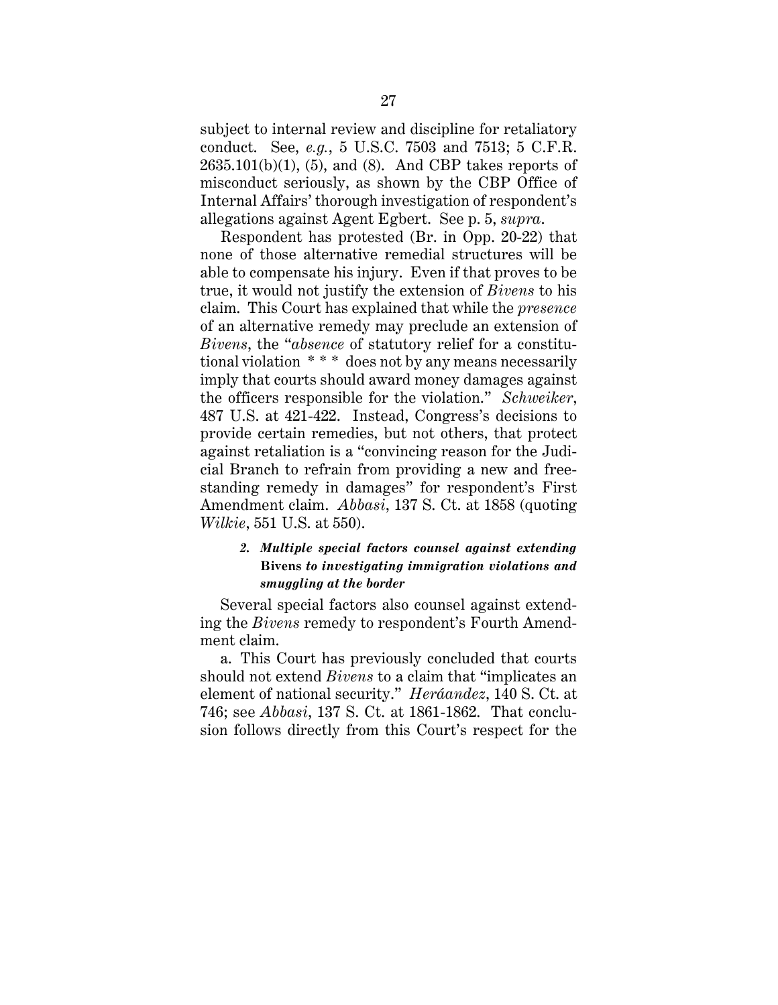subject to internal review and discipline for retaliatory conduct. See, *e.g.*, 5 U.S.C. 7503 and 7513; 5 C.F.R.  $2635.101(b)(1)$ ,  $(5)$ , and  $(8)$ . And CBP takes reports of misconduct seriously, as shown by the CBP Office of Internal Affairs' thorough investigation of respondent's allegations against Agent Egbert. See p. 5, *supra*.

Respondent has protested (Br. in Opp. 20-22) that none of those alternative remedial structures will be able to compensate his injury. Even if that proves to be true, it would not justify the extension of *Bivens* to his claim. This Court has explained that while the *presence* of an alternative remedy may preclude an extension of *Bivens*, the "*absence* of statutory relief for a constitutional violation \* \* \* does not by any means necessarily imply that courts should award money damages against the officers responsible for the violation." *Schweiker*, 487 U.S. at 421-422. Instead, Congress's decisions to provide certain remedies, but not others, that protect against retaliation is a "convincing reason for the Judicial Branch to refrain from providing a new and freestanding remedy in damages" for respondent's First Amendment claim. *Abbasi*, 137 S. Ct. at 1858 (quoting *Wilkie*, 551 U.S. at 550).

# *2. Multiple special factors counsel against extending*  **Bivens** *to investigating immigration violations and smuggling at the border*

Several special factors also counsel against extending the *Bivens* remedy to respondent's Fourth Amendment claim.

a. This Court has previously concluded that courts should not extend *Bivens* to a claim that "implicates an element of national security." *Heráandez*, 140 S. Ct. at 746; see *Abbasi*, 137 S. Ct. at 1861-1862. That conclusion follows directly from this Court's respect for the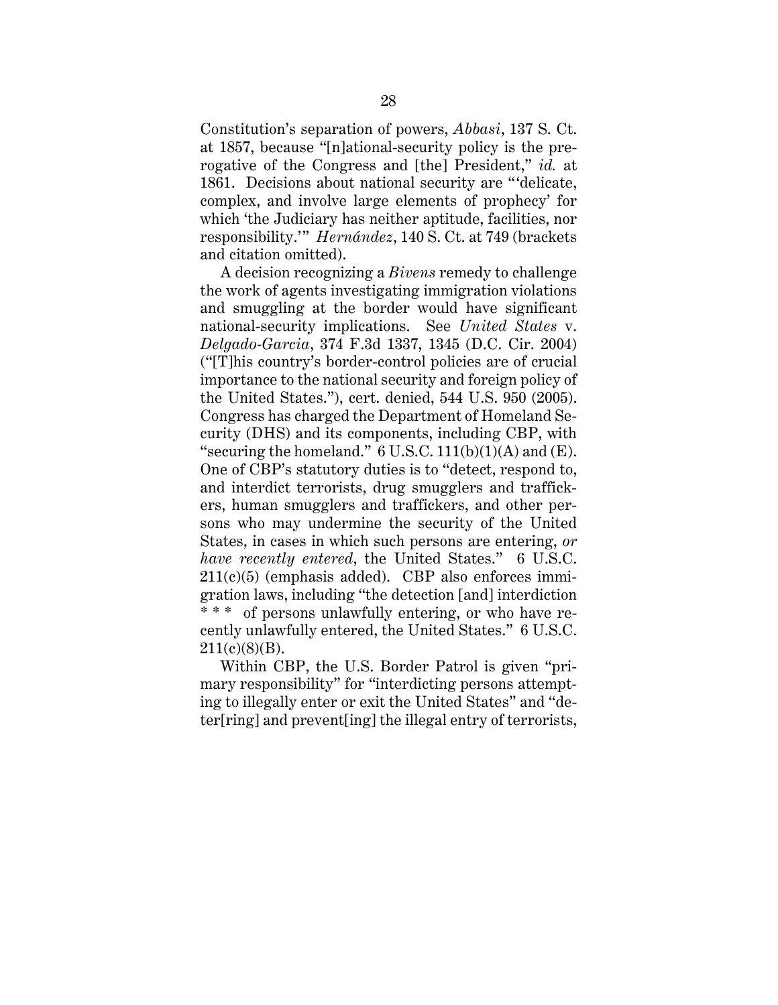Constitution's separation of powers, *Abbasi*, 137 S. Ct. at 1857, because "[n]ational-security policy is the prerogative of the Congress and [the] President," *id.* at 1861. Decisions about national security are "'delicate, complex, and involve large elements of prophecy' for which 'the Judiciary has neither aptitude, facilities, nor responsibility.'" *Hernández*, 140 S. Ct. at 749 (brackets and citation omitted).

A decision recognizing a *Bivens* remedy to challenge the work of agents investigating immigration violations and smuggling at the border would have significant national-security implications. See *United States* v. *Delgado-Garcia*, 374 F.3d 1337, 1345 (D.C. Cir. 2004) ("[T]his country's border-control policies are of crucial importance to the national security and foreign policy of the United States."), cert. denied, 544 U.S. 950 (2005). Congress has charged the Department of Homeland Security (DHS) and its components, including CBP, with "securing the homeland."  $6$  U.S.C. 111(b)(1)(A) and (E). One of CBP's statutory duties is to "detect, respond to, and interdict terrorists, drug smugglers and traffickers, human smugglers and traffickers, and other persons who may undermine the security of the United States, in cases in which such persons are entering, *or have recently entered*, the United States." 6 U.S.C.  $211(c)(5)$  (emphasis added). CBP also enforces immigration laws, including "the detection [and] interdiction \* \* \* of persons unlawfully entering, or who have recently unlawfully entered, the United States." 6 U.S.C.  $211(c)(8)(B)$ .

Within CBP, the U.S. Border Patrol is given "primary responsibility" for "interdicting persons attempting to illegally enter or exit the United States" and "deter[ring] and prevent[ing] the illegal entry of terrorists,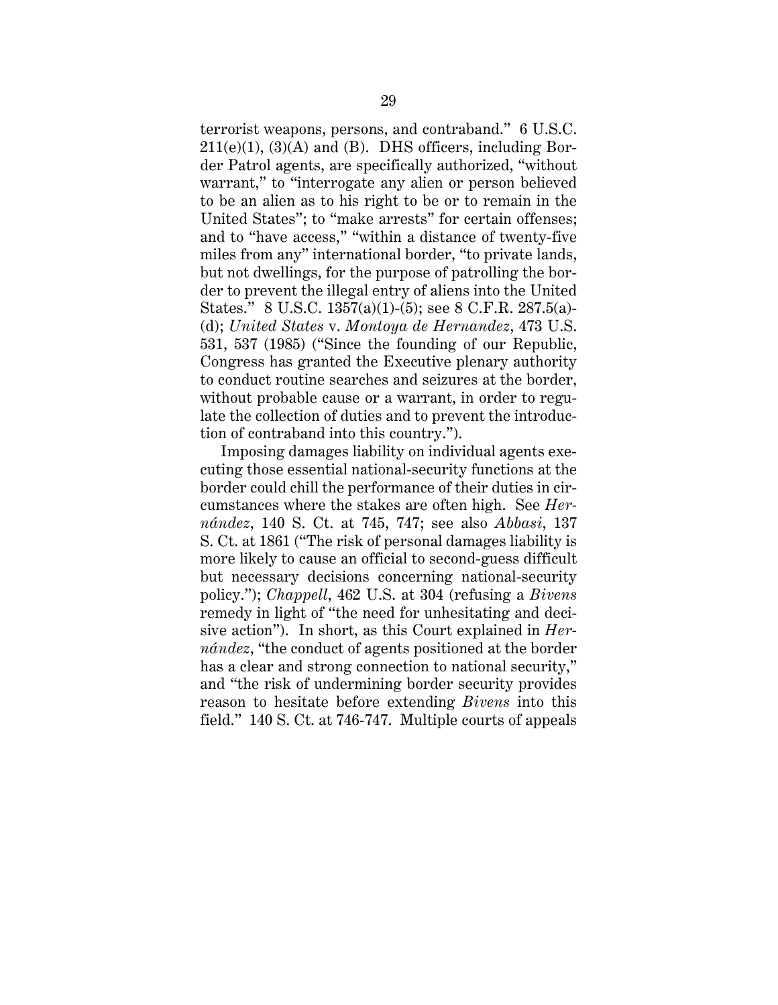terrorist weapons, persons, and contraband." 6 U.S.C.  $211(e)(1)$ ,  $(3)(A)$  and  $(B)$ . DHS officers, including Border Patrol agents, are specifically authorized, "without warrant," to "interrogate any alien or person believed to be an alien as to his right to be or to remain in the United States"; to "make arrests" for certain offenses; and to "have access," "within a distance of twenty-five miles from any" international border, "to private lands, but not dwellings, for the purpose of patrolling the border to prevent the illegal entry of aliens into the United States." 8 U.S.C. 1357(a)(1)-(5); see 8 C.F.R. 287.5(a)- (d); *United States* v. *Montoya de Hernandez*, 473 U.S. 531, 537 (1985) ("Since the founding of our Republic, Congress has granted the Executive plenary authority to conduct routine searches and seizures at the border, without probable cause or a warrant, in order to regulate the collection of duties and to prevent the introduction of contraband into this country.").

Imposing damages liability on individual agents executing those essential national-security functions at the border could chill the performance of their duties in circumstances where the stakes are often high. See *Hernández*, 140 S. Ct. at 745, 747; see also *Abbasi*, 137 S. Ct. at 1861 ("The risk of personal damages liability is more likely to cause an official to second-guess difficult but necessary decisions concerning national-security policy."); *Chappell*, 462 U.S. at 304 (refusing a *Bivens*  remedy in light of "the need for unhesitating and decisive action"). In short, as this Court explained in *Hernández*, "the conduct of agents positioned at the border has a clear and strong connection to national security," and "the risk of undermining border security provides reason to hesitate before extending *Bivens* into this field." 140 S. Ct. at 746-747. Multiple courts of appeals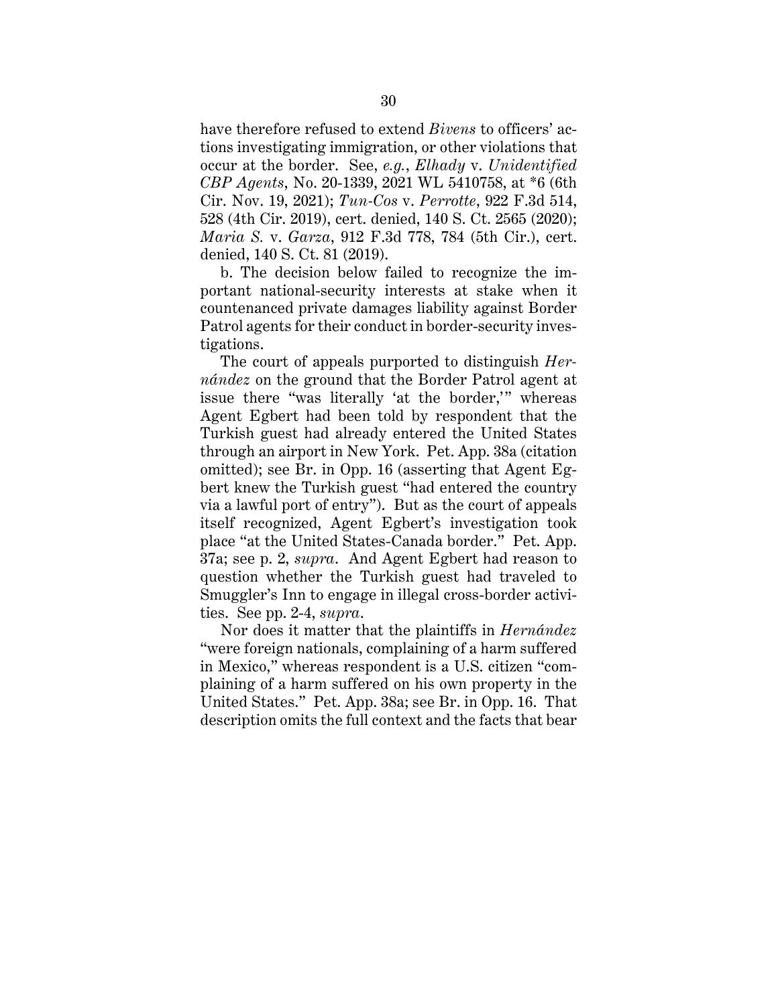have therefore refused to extend *Bivens* to officers' actions investigating immigration, or other violations that occur at the border. See, *e.g.*, *Elhady* v. *Unidentified CBP Agents*, No. 20-1339, 2021 WL 5410758, at \*6 (6th Cir. Nov. 19, 2021); *Tun-Cos* v. *Perrotte*, 922 F.3d 514, 528 (4th Cir. 2019), cert. denied, 140 S. Ct. 2565 (2020); *Maria S.* v. *Garza*, 912 F.3d 778, 784 (5th Cir.), cert. denied, 140 S. Ct. 81 (2019).

b. The decision below failed to recognize the important national-security interests at stake when it countenanced private damages liability against Border Patrol agents for their conduct in border-security investigations.

The court of appeals purported to distinguish *Hernández* on the ground that the Border Patrol agent at issue there "was literally 'at the border,'" whereas Agent Egbert had been told by respondent that the Turkish guest had already entered the United States through an airport in New York. Pet. App. 38a (citation omitted); see Br. in Opp. 16 (asserting that Agent Egbert knew the Turkish guest "had entered the country via a lawful port of entry"). But as the court of appeals itself recognized, Agent Egbert's investigation took place "at the United States-Canada border." Pet. App. 37a; see p. 2, *supra*. And Agent Egbert had reason to question whether the Turkish guest had traveled to Smuggler's Inn to engage in illegal cross-border activities. See pp. 2-4, *supra*.

Nor does it matter that the plaintiffs in *Hernández* "were foreign nationals, complaining of a harm suffered in Mexico," whereas respondent is a U.S. citizen "complaining of a harm suffered on his own property in the United States." Pet. App. 38a; see Br. in Opp. 16. That description omits the full context and the facts that bear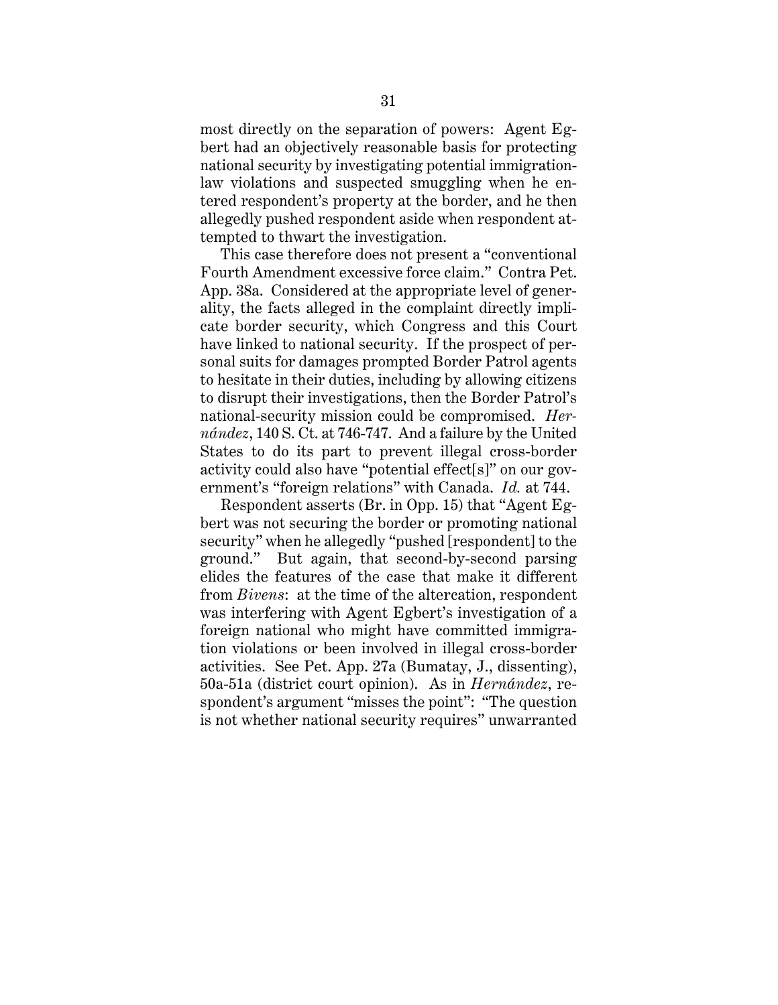most directly on the separation of powers: Agent Egbert had an objectively reasonable basis for protecting national security by investigating potential immigrationlaw violations and suspected smuggling when he entered respondent's property at the border, and he then allegedly pushed respondent aside when respondent attempted to thwart the investigation.

This case therefore does not present a "conventional Fourth Amendment excessive force claim." Contra Pet. App. 38a. Considered at the appropriate level of generality, the facts alleged in the complaint directly implicate border security, which Congress and this Court have linked to national security. If the prospect of personal suits for damages prompted Border Patrol agents to hesitate in their duties, including by allowing citizens to disrupt their investigations, then the Border Patrol's national-security mission could be compromised. *Hernández*, 140 S. Ct. at 746-747. And a failure by the United States to do its part to prevent illegal cross-border activity could also have "potential effect[s]" on our government's "foreign relations" with Canada. *Id.* at 744.

Respondent asserts (Br. in Opp. 15) that "Agent Egbert was not securing the border or promoting national security" when he allegedly "pushed [respondent] to the ground." But again, that second-by-second parsing elides the features of the case that make it different from *Bivens*: at the time of the altercation, respondent was interfering with Agent Egbert's investigation of a foreign national who might have committed immigration violations or been involved in illegal cross-border activities. See Pet. App. 27a (Bumatay, J., dissenting), 50a-51a (district court opinion). As in *Hernández*, respondent's argument "misses the point": "The question is not whether national security requires" unwarranted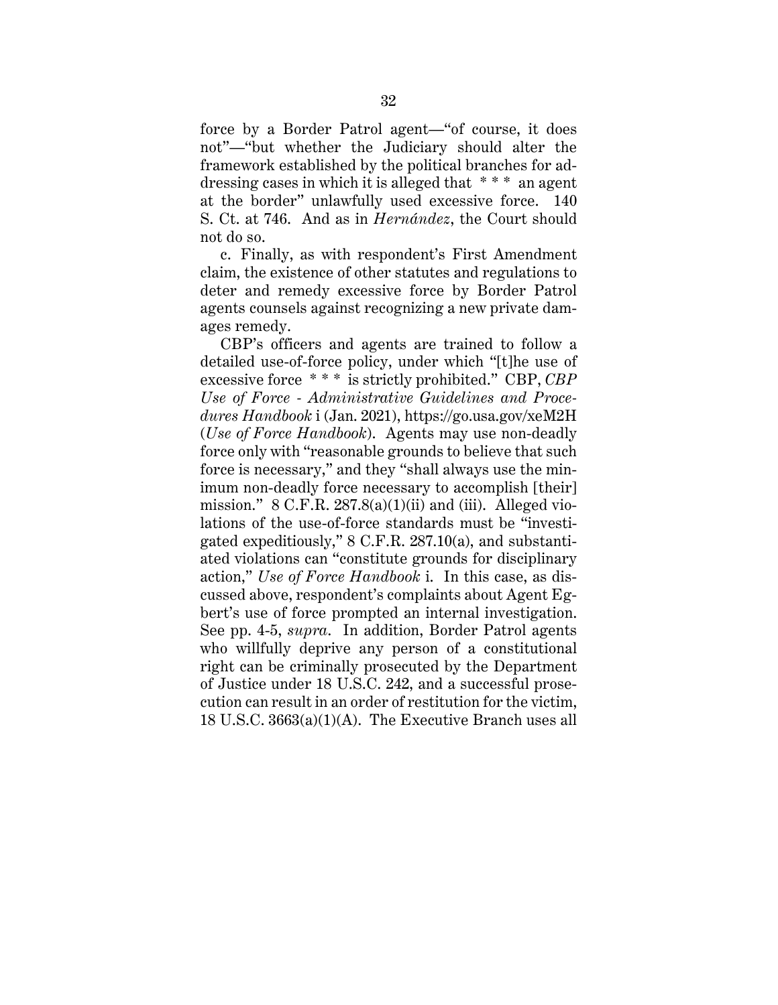force by a Border Patrol agent—"of course, it does not"—"but whether the Judiciary should alter the framework established by the political branches for addressing cases in which it is alleged that \* \* \* an agent at the border" unlawfully used excessive force. 140 S. Ct. at 746. And as in *Hernández*, the Court should not do so.

c. Finally, as with respondent's First Amendment claim, the existence of other statutes and regulations to deter and remedy excessive force by Border Patrol agents counsels against recognizing a new private damages remedy.

CBP's officers and agents are trained to follow a detailed use-of-force policy, under which "[t]he use of excessive force \* \* \* is strictly prohibited." CBP, *CBP Use of Force - Administrative Guidelines and Procedures Handbook* i (Jan. 2021), https://go.usa.gov/xeM2H (*Use of Force Handbook*). Agents may use non-deadly force only with "reasonable grounds to believe that such force is necessary," and they "shall always use the minimum non-deadly force necessary to accomplish [their] mission."  $8 \text{ C.F.R. } 287.8(a)(1)(ii)$  and (iii). Alleged violations of the use-of-force standards must be "investigated expeditiously," 8 C.F.R. 287.10(a), and substantiated violations can "constitute grounds for disciplinary action," *Use of Force Handbook* i. In this case, as discussed above, respondent's complaints about Agent Egbert's use of force prompted an internal investigation. See pp. 4-5, *supra*. In addition, Border Patrol agents who willfully deprive any person of a constitutional right can be criminally prosecuted by the Department of Justice under 18 U.S.C. 242, and a successful prosecution can result in an order of restitution for the victim, 18 U.S.C. 3663(a)(1)(A). The Executive Branch uses all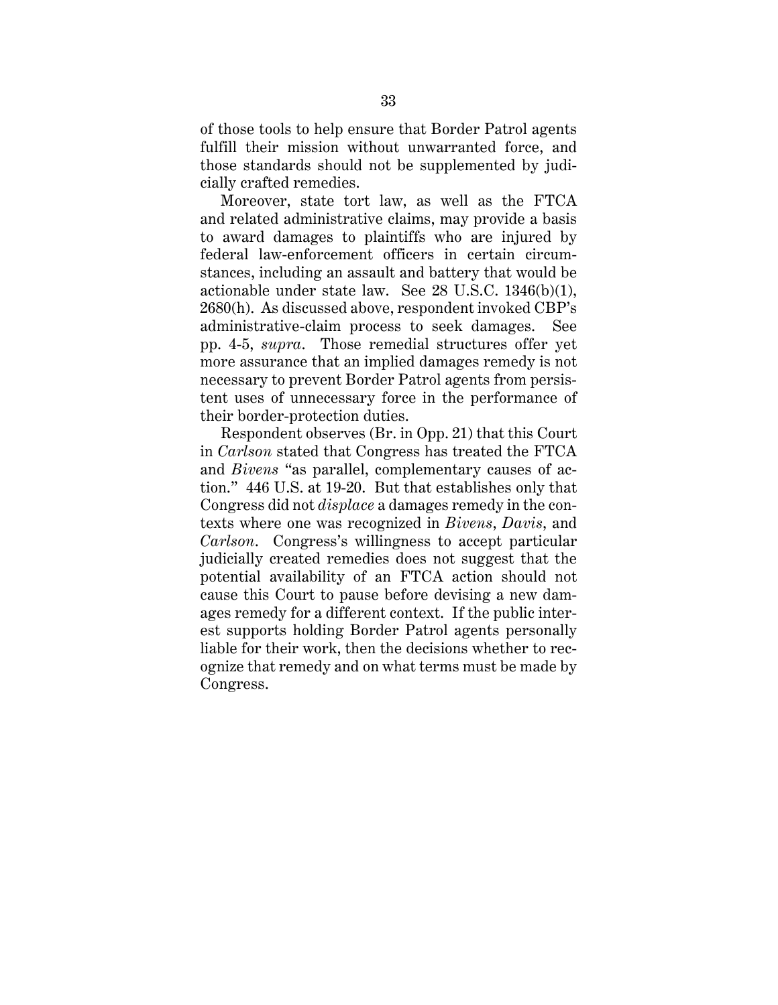of those tools to help ensure that Border Patrol agents fulfill their mission without unwarranted force, and those standards should not be supplemented by judicially crafted remedies.

Moreover, state tort law, as well as the FTCA and related administrative claims, may provide a basis to award damages to plaintiffs who are injured by federal law-enforcement officers in certain circumstances, including an assault and battery that would be actionable under state law. See 28 U.S.C. 1346(b)(1), 2680(h). As discussed above, respondent invoked CBP's administrative-claim process to seek damages. See pp. 4-5, *supra*. Those remedial structures offer yet more assurance that an implied damages remedy is not necessary to prevent Border Patrol agents from persistent uses of unnecessary force in the performance of their border-protection duties.

Respondent observes (Br. in Opp. 21) that this Court in *Carlson* stated that Congress has treated the FTCA and *Bivens* "as parallel, complementary causes of action." 446 U.S. at 19-20. But that establishes only that Congress did not *displace* a damages remedy in the contexts where one was recognized in *Bivens*, *Davis*, and *Carlson*. Congress's willingness to accept particular judicially created remedies does not suggest that the potential availability of an FTCA action should not cause this Court to pause before devising a new damages remedy for a different context. If the public interest supports holding Border Patrol agents personally liable for their work, then the decisions whether to recognize that remedy and on what terms must be made by Congress.